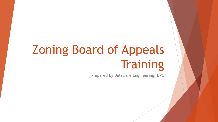# Zoning Board of Appeals **Training**

Prepared by Delaware Engineering, DPC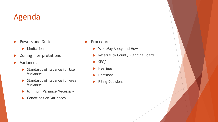# Agenda

- Powers and Duties
	- **Limitations**
- **>** Zoning Interpretations
- **Nariances** 
	- Standards of Issuance for Use **Variances**
	- Standards of Issuance for Area Variances
	- **Minimum Variance Necessary**
	- ▶ Conditions on Variances
- Procedures
	- ▶ Who May Apply and How
	- Referral to County Planning Board
	- SEQR
	- $\blacktriangleright$  Hearings
	- **Decisions**
	- Filing Decisions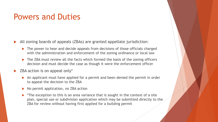### Powers and Duties

All zoning boards of appeals (ZBAs) are granted appellate jurisdiction:

- ▶ The power to hear and decide appeals from decisions of those officials charged with the administration and enforcement of the zoning ordinance or local law
- ▶ The ZBA must review all the facts which formed the basis of the zoning officers decision and must decide the case as though it were the enforcement officer

 $\blacktriangleright$  ZBA action is on appeal only\*

- An applicant must have applied for a permit and been denied the permit in order to appeal the decision to the ZBA
- $\triangleright$  No permit application, no ZBA action
- \*The exception to this is an area variance that is sought in the context of a site plan, special use or subdivision application which may be submitted directly to the ZBA for review without having first applied for a building permit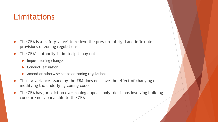### Limitations

- The ZBA is a 'safety-valve' to relieve the pressure of rigid and inflexible provisions of zoning regulations
- $\blacktriangleright$  The ZBA's authority is limited; it may not:
	- $\blacktriangleright$  Impose zoning changes
	- Conduct legislation
	- Amend or otherwise set aside zoning regulations
- ▶ Thus, a variance issued by the ZBA does not have the effect of changing or modifying the underlying zoning code
- ▶ The ZBA has jurisdiction over zoning appeals only; decisions involving building code are not appealable to the ZBA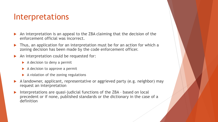### Interpretations

- An interpretation is an appeal to the ZBA claiming that the decision of the enforcement official was incorrect.
- Thus, an application for an interpretation must be for an action for which a zoning decision has been made by the code enforcement officer.
- An interpretation could be requested for:
	- $\blacktriangleright$  A decision to deny a permit
	- $\blacktriangleright$  A decision to approve a permit
	- $\blacktriangleright$  A violation of the zoning regulations
- A landowner, applicant, representative or aggrieved party (e.g. neighbor) may request an interpretation
- Interpretations are quasi-judicial functions of the ZBA based on local precedent or if none, published standards or the dictionary in the case of a definition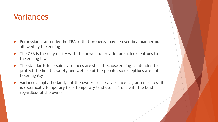### Variances

- Permission granted by the ZBA so that property may be used in a manner not allowed by the zoning
- The ZBA is the only entity with the power to provide for such exceptions to the zoning law
- The standards for issuing variances are strict because zoning is intended to protect the health, safety and welfare of the people, so exceptions are not taken lightly
- ▶ Variances apply the land, not the owner once a variance is granted, unless it is specifically temporary for a temporary land use, it 'runs with the land' regardless of the owner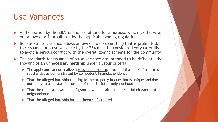### Use Variances

- Authorization by the ZBA for the use of land for a purpose which is otherwise not allowed or is prohibited by the applicable zoning regulations
- Because a use variance allows an owner to do something that is prohibited, the issuance of a use variance by the ZBA must be considered very carefully to avoid a serious conflict with the overall zoning scheme for the community
- The standards for issuance of a use variance are intended to be difficult the showing of an unnecessary hardship under all four criteria:
	- ▶ The applicant cannot realize a reasonable return, provided that lack of return is substantial as demonstrated by competent financial evidence
	- ▶ That the alleged hardship relating to the property in question is unique and does not apply to a substantial portion of the district or neighborhood
	- That the requested variance if granted will not alter the essential character of the neighborhood
	- That the alleged hardship has not been self-created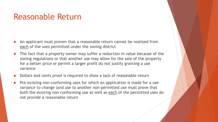### Reasonable Return

- An applicant must proven that a reasonable return cannot be realized from each of the uses permitted under the zoning district
- The fact that a property owner may suffer a reduction in value because of the zoning regulations or that another use may allow for the sale of the property for a better price or permit a larger profit do not justify granting a use variance
- Dollars and cents proof is required to show a lack of reasonable return
- Pre-existing non-conforming uses for which an application is made for a use variance to change land use to another non-permitted use must prove that both the existing non-conforming use as well as each of the permitted uses do not provide a reasonable return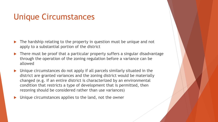## Unique Circumstances

- The hardship relating to the property in question must be unique and not apply to a substantial portion of the district
- ▶ There must be proof that a particular property suffers a singular disadvantage through the operation of the zoning regulation before a variance can be allowed
- Unique circumstances do not apply if all parcels similarly situated in the district are granted variances and the zoning district would be materially changed (e.g. if an entire district is characterized by an environmental condition that restricts a type of development that is permitted, then rezoning should be considered rather than use variances)
- Unique circumstances applies to the land, not the owner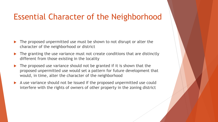### Essential Character of the Neighborhood

- The proposed unpermitted use must be shown to not disrupt or alter the character of the neighborhood or district
- The granting the use variance must not create conditions that are distinctly different from those existing in the locality
- The proposed use variance should not be granted if it is shown that the proposed unpermitted use would set a pattern for future development that would, in time, alter the character of the neighborhood
- A use variance should not be issued if the proposed unpermitted use could interfere with the rights of owners of other property in the zoning district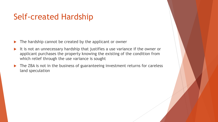## Self-created Hardship

- The hardship cannot be created by the applicant or owner
- It is not an unnecessary hardship that justifies a use variance if the owner or applicant purchases the property knowing the existing of the condition from which relief through the use variance is sought
- The ZBA is not in the business of guaranteeing investment returns for careless land speculation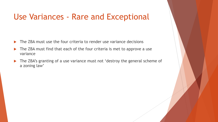# Use Variances - Rare and Exceptional

- The ZBA must use the four criteria to render use variance decisions
- The ZBA must find that each of the four criteria is met to approve a use variance
- The ZBA's granting of a use variance must not 'destroy the general scheme of a zoning law'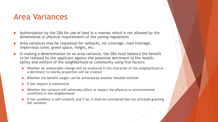### Area Variances

- Authorization by the ZBA for use of land in a manner which is not allowed by the dimensional or physical requirements of the zoning regulations
- Area variances may be requested for setbacks, lot coverage, road frontage, impervious cover, green space, height, etc.
- In making a determination on an area variance, the ZBA must balance the benefit to be realized by the applicant against the potential detriment to the health, safety and welfare of the neighborhood or community using five factors:
	- ▶ Whether an undesirable change will be produced in the character of the neighborhood or a detriment to nearby properties will be created
	- $\triangleright$  Whether the benefit sought can be achieved by another feasible method
	- $\blacktriangleright$  If the request is substantial
	- Whether the variance will adversely affect or impact the physical or environmental conditions in the neighborhood
	- If the condition is self-created; and if so, it shall be considered but not preclude granting the variance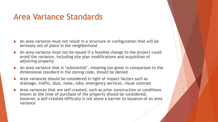### Area Variance Standards

- An area variance must not result in a structure or configuration that will be seriously out of place in the neighborhood
- An area variance must not be issued if a feasible change to the project could avoid the variance, including site plan modifications and acquisition of adjoining property
- An area variance that is 'substantial', meaning too great in comparison to the dimensional standard in the zoning code, should be denied
- Area variances should be considered in light of impact factors such as drainage, traffic, dust, noise, odor, emergency services, visual contrast
- Area variances that are self-created, such as prior construction or conditions known at the time of purchase of the property should be considered; however, a self-created difficulty is not alone a barrier to issuance of an area variance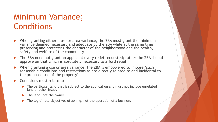# Minimum Variance; Conditions

- When granting either a use or area variance, the ZBA must grant the minimum variance deemed necessary and adequate by the ZBA while at the same time preserving and protecting the character of the neighborhood and the health, safety and welfare of the community
- The ZBA need not grant an applicant every relief requested; rather the ZBA should approve on that which is absolutely necessary to afford relief
- When granting a use or area variance, the ZBA is empowered to impose 'such reasonable conditions and restrictions as are directly related to and incidental to the proposed use of the property'
- Conditions must relate to
	- ▶ The particular land that is subject to the application and must not include unrelated land or other issues
	- $\blacktriangleright$  The land, not the owner
	- The legitimate objectives of zoning, not the operation of a business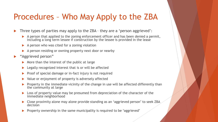# Procedures – Who May Apply to the ZBA

Three types of parties may apply to the ZBA – they are a 'person aggrieved':

- A person that applied to the zoning enforcement officer and has been denied a permit, including a long term lessee if construction by the lessee is provided in the lease
- $\blacktriangleright$  A person who was cited for a zoning violation
- A person residing or owning property next door or nearby
- "Aggrieved person"
	- More than the interest of the public at large
	- **Legally recognized interest that is or will be affected**
	- $\triangleright$  Proof of special damage or in-fact injury is not required
	- Value or enjoyment of property is adversely affected
	- Property in the immediate vicinity of the change in use will be affected differently than the community at large
	- **Loss of property value may be presumed from depreciation of the character of the** immediate neighborhood
	- Close proximity alone may alone provide standing as an 'aggrieved person' to seek ZBA decision
	- **Property ownership in the same municipality is required to be 'aggrieved'**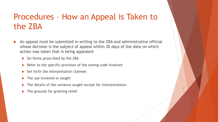# Procedures – How an Appeal is Taken to the ZBA

- An appeal must be submitted in writing to the ZBA and administrative official whose decision is the subject of appeal within 30 days of the date on which action was taken that is being appealed:
	- On forms proscribed by the ZBA
	- $\triangleright$  Refer to the specific provision of the zoning code involved
	- $\triangleright$  Set forth the interpretation claimed
	- The use involved or sought
	- $\blacktriangleright$  The details of the variance sought except for interpretations
	- $\blacktriangleright$  The grounds for granting relief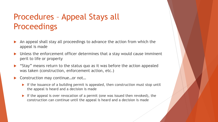# Procedures – Appeal Stays all **Proceedings**

- An appeal shall stay all proceedings to advance the action from which the appeal is made
- Unless the enforcement officer determines that a stay would cause imminent peril to life or property
- "Stay" means return to the status quo as it was before the action appealed was taken (construction, enforcement action, etc.)
- Construction may continue…or not…
	- If the issuance of a building permit is appealed, then construction must stop until the appeal is heard and a decision is made
	- If the appeal is over revocation of a permit (one was issued then revoked), the construction can continue until the appeal is heard and a decision is made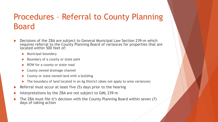# Procedures – Referral to County Planning Board

- Decisions of the ZBA are subject to General Municipal Law Section 239-m which requires referral to the County Planning Board of variances for properties that are located within 500 feet of:
	- $\blacktriangleright$  Municipal boundary
	- $\blacktriangleright$  Boundary of a county or state park
	- ▶ ROW for a county or state road
	- County owned drainage channel
	- $\triangleright$  County or state owned land with a building
	- The boundary of land located in an Ag District (does not apply to area variances)
- $\blacktriangleright$  Referral must occur at least five (5) days prior to the hearing
- Interpretations by the ZBA are not subject to GML 239-m
- The ZBA must file it's decision with the County Planning Board within seven (7) days of taking action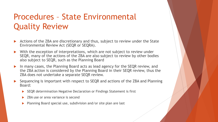# Procedures – State Environmental Quality Review

- Actions of the ZBA are discretionary and thus, subject to review under the State Environmental Review Act (SEQR or SEQRA).
- With the exception of interpretations, which are not subject to review under SEQR, many of the actions of the ZBA are also subject to review by other bodies also subject to SEQR, such as the Planning Board
- ▶ In many cases, the Planning Board acts as lead agency for the SEQR review, and the ZBA action is considered by the Planning Board in their SEQR review, thus the ZBA does not undertake a separate SEQR review.
- Sequencing is important with respect to SEQR and actions of the ZBA and Planning Board:
	- ▶ SEQR determination Negative Declaration or Findings Statement is first
	- ZBA use or area variance is second
	- ▶ Planning Board special use, subdivision and/or site plan are last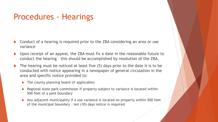## Procedures - Hearings

- Conduct of a hearing is required prior to the ZBA considering an area or use variance
- ▶ Upon receipt of an appeal, the ZBA must fix a date in the reasonable future to conduct the hearing – this should be accomplished by resolution of the ZBA.
- $\blacktriangleright$  The hearing must be noticed at least five (5) days prior to the date it is to be conducted with notice appearing in a newspaper of general circulation in the area and specific notice provided to:
	- $\blacktriangleright$  The county planning board (if applicable)
	- Regional state park commission if property subject to variance is located within 500 feet of a park boundary
	- Any adjacent municipality if a use variance is located on property within 500 feet of the municipal boundary – ten (10) days notice is required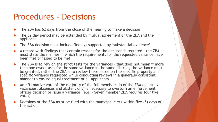### Procedures - Decisions

- The ZBA has 62 days from the close of the hearing to make a decision
- The 62 day period may be extended by mutual agreement of the ZBA and the applicant
- The ZBA decision must include findings supported by 'substantial evidence'
- A record with findings that contain reasons for the decision is required the ZBA must state the manner in which the requirements for the requested variance have been met or failed to be met
- ▶ The ZBA is to rely on the strict tests for the variances that does not mean if more than one owner asks for the same variance in the same district, the variance must be granted; rather the ZBA is to review these based on the specific property and specific variance requested while conducting reviews in a generally consistent manner to ensure equal treatment of all applicants
- An affirmative vote of the majority of the full membership of the ZBA (counting vacancies, absences and abstentions) is necessary to overturn an enforcement officer decision or issue a variance (e.g. – Seven member ZBA requires four like votes)
- Decisions of the ZBA must be filed with the municipal clerk within five (5) days of the action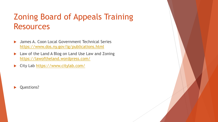# Zoning Board of Appeals Training Resources

- James A. Coon Local Government Technical Series <https://www.dos.ny.gov/lg/publications.html>
- ▶ Law of the Land A Blog on Land Use Law and Zoning <https://lawoftheland.wordpress.com/>
- City Lab <https://www.citylab.com/>

Questions?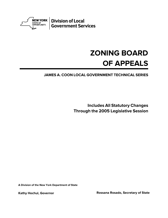

### **ZONING BOARD OF APPEALS**

#### **JAMES A. COON LOCAL GOVERNMENT TECHNICAL SERIES**

**Includes All Statutory Changes Through the 2005 Legislative Session**

**A Division of the New York Department of State**

**Kathy Hochul, Governor Rossana Rosado, Secretary of State**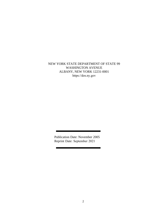#### NEW YORK STATE DEPARTMENT OF STATE 99 WASHINGTON AVENUE ALBANY, NEW YORK 12231-0001 https://dos.ny.gov

Publication Date: November 2005 Reprint Date: September 2021

Ť.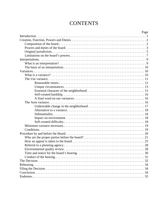### **CONTENTS**

| Page |  |
|------|--|
|      |  |
|      |  |
|      |  |
|      |  |
|      |  |
|      |  |
|      |  |
|      |  |
|      |  |
|      |  |
|      |  |
|      |  |
|      |  |
|      |  |
|      |  |
|      |  |
|      |  |
|      |  |
|      |  |
|      |  |
|      |  |
|      |  |
|      |  |
|      |  |
|      |  |
|      |  |
|      |  |
|      |  |
|      |  |
|      |  |
|      |  |
|      |  |
|      |  |
|      |  |
|      |  |
|      |  |
|      |  |
|      |  |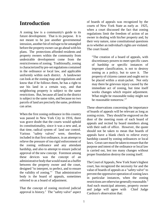### **Introduction**

A zoning law is a community's guide to its future development. That is its purpose. It is not meant to be just another governmental intrusion, another bit of red tape to be untangled before the property owner can go ahead with his plans. The protections afforded residents and property owners within the community from undesirable development come from the restrictiveness of zoning. Traditionally, zoning is characterized by pre-set regulations contained in the ordinance or local law, and applicable uniformly within each district. A landowner can look at the zoning map and regulations and know that if he follows them, he has a right to use his land in a certain way, and that neighboring property is subject to the same restrictions. But, because all land in the district is subject to the same rules, and because no two parcels of land are precisely the same, problems can arise.

When the first zoning ordinance in this country was passed in New York City in 1916, there was grave doubt that the courts would uphold its constitutionality, since it was a new and, at that time, radical system of land use control. Various "safety valves" were, therefore, included in that first ordinance, in an attempt to relieve the pressure of too rigid enforcement of the zoning ordinance and any attendant hardship, and also to attempt to ensure judicial approval of the new concept. Foremost among these devices was the concept of an administrative body that would stand as a buffer between the property owner and the court, designed "to interpret, to perfect, and to ensure the validity of zoning."<sup>1</sup> That administrative body is the board of appeals, sometimes referred to as a board of adjustment.

That the concept of zoning received judicial approval is history. $^2$  The "safety valve" aspect of boards of appeals was recognized by the courts of New York State as early as 1925, when a court discussed the fact that zoning regulations limit the freedom of action of an owner in dealing with his/her property and, by their very nature, raise constitutional questions as to whether an individual's rights are violated. The court found:

"The creation of a board of appeals, with discretionary powers to meet specific cases of hardship or specific instances of improper classification, is not to destroy zoning as a policy, but to save it. The property of citizens cannot and ought not to be placed within a strait-jacket. Not only may there be grievous injury caused by the immediate act of zoning, but time itself works changes which require adjustment. What might be reasonable today might not be reasonable tomorrow."<sup>3</sup>

These observations concerning the importance of boards of appeals will be relevant as long as zoning exists. They should be engraved on the door of the meeting room of each board of appeals and recited by board members along with their oath of office. However, the quote should not be taken to mean that boards of appeals have a blank check to relieve every hardship caused by zoning ordinances or local laws. Great care must be taken to ensure that the purpose and intent of the ordinance or local law is carried out, lest too many changes without proper foundation destroy the zoning itself.

The Court of Appeals, New York State's highest court, has recognized the necessity for and the value of boards of appeals as a "safety valve" to prevent the oppressive operation of zoning laws in particular instances, when the zoning restrictions are otherwise generally reasonable.<sup>4</sup> And each municipal attorney, property owner and judge will agree with Chief Judge Cardozo's observation that: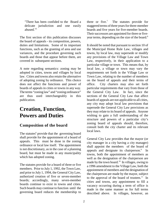"There has been confided to the Board a delicate jurisdiction and one easily abused."<sup>5</sup>

The first section of this publication discusses the board of appeals - its composition, powers, duties and limitations. Some of its important functions, such as the granting of area and use variances, and the procedure governing such boards and those that appear before them, are covered in subsequent sections.

A note regarding semantics: zoning may be adopted in cities, towns and villages by local law. Cities and towns also retain the alternative of adopting zoning by ordinance. This choice does not affect the functions and power of boards of appeals in cities or towns in any way. The terms "zoning law" and "zoning ordinance" are thus used interchangeably in this publication.

### **Creation, Function, Powers and Duties**

#### **Composition of the board**

The statutes $6$  provide that the governing board shall provide for the appointment of a board of appeals. This must be done in the zoning ordinance or local law itself. The appointment is not discretionary, as in the case of a planning board, but must be made in any municipality which has adopted zoning.

The statutes provide for a board of three or five members. Prior to July 1, 1992, the Town Law, and prior to July 1, 1994, the General City Law, authorized creation of five or seven-member boards; accordingly, many seven-member boards continue to exist in towns and cities. Such boards may continue to function until the governing board reduces the membership to three or five.<sup>7</sup> The statutes provide for staggered terms of three years for three-member boards and five years for five-member boards. Their successors are appointed for three or fiveyear terms, depending on the size of the board.<sup>8</sup>

It should be noted that pursuant to section 10 of the Municipal Home Rule Law, villages and towns, by local law, may supersede or modify any provisions of the Village Law and Town Law, respectively, in their application to a particular village or town. This means that, by local law, a village or town may vary the requirements set forth in the Village Law or Town Law, relating to the number of members on the board of appeals and their terms of office. City charters may also set forth particular requirements that vary from those of the General City Law. In fact, since the sections of the General City Law that affect boards of appeals are not applicable to all cities, any city may adopt local law provisions that supersede the General City Law provisions as they may relate to its board of appeals. Anyone wishing to gain a full understanding of the structure and powers of a particular city's zoning board of appeals should, therefore, consult both the city charter and its relevant local laws.

General City Law provides that the mayor (or city manager in a city having a city manager) shall appoint the members of the board of appeals and designate its chairperson. $9$  In towns, both the appointment of members as well as the designation of the chairperson are made by the town board.<sup>10</sup> In villages, owing to a 1996 amendment to the Village Law, both the appointment of members and the designation of the chairperson are made by the mayor, subject to the approval of the board of trustees.<sup>11</sup> In cities and towns, any appointment to fill a vacancy occurring during a term of office is made in the same manner as for full terms described above. In villages, however, an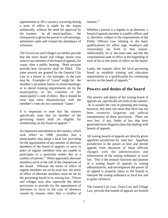appointment to fill a vacancy occurring during a term of office is made by the mayor unilaterally, without the need for approval by the trustees. In all municipalities, the chairperson is given the power to call meetings, administer oaths and compel the attendance of witnesses.

The Town Law and Village Law further provide that the town board and village mayor may remove any member of the board of appeals, for cause, after a public hearing. Both sections provide how vacancies shall be filled. The same powers are granted by the General City Law to a mayor or city manager, as the case may be. Examples of "cause" might be: the member's persistent failure to attend meetings; or to attend training requirements set by the municipality; or his violation of the municipality's code of ethics. But it should be clear that mere dissatisfaction with the member's votes do *not* constitute "cause."

It is important to note that the statutes specifically state that no member of the governing board shall be eligible for membership on the board of appeals.<sup>12</sup>

An important amendment to the statutes, which took effect in 1998, provides that a municipality may adopt a local law providing for the appointment of any number of alternate members of the board of appeals, to serve in place of regular members who are unable to participate in a particular matter due to a conflict of interest.<sup>13</sup> When appointed, alternate members serve at the call of the chairperson of the board. Whereas the terms of office of regular members are set by state law, the terms of office of alternate members must be set by the governing board in its zoning law. Towns and villages may also supersede the above provisions to provide for the appointment of alternates to serve in the case of absences caused by reasons other than a conflict of interest.<sup>14</sup>

Whether a person is a regular or an alternate, a board of appeals member is a public officer, and is, therefore, subject to the requirements of the Public Officers Law relating to the basic qualifications for office (age, residence and citizenship) set forth in that statute. Additionally, he or she must take and file the constitutional oath of office at the beginning of each of his or her terms of office on the board.

Lastly, the statutes allow the local governing board to establish training and education requirements as a qualification for continuing service on the board of appeals.<sup>15</sup>

#### **Powers and duties of the board**

The powers and duties of the zoning board of appeals are specifically set forth in the statutes. As is usually the case in planning and zoning, however, this does not mean that there has not been extensive litigation and judicial interpretation of these provisions. There are very few, if any, fields of law that have generated more litigation than that dealing with boards of appeals.

All zoning boards of appeals are directly given appellate jurisdiction by state law. Appellate jurisdiction is the power to hear and decide appeals from decisions of those officials charged with the administration and enforcement of the zoning ordinance or local law. This is the primary function and purpose of a zoning board of appeals in zoning administration, and encompasses the power (if an appeal is properly taken to the board) to interpret the zoning ordinance or local law and to grant variances.

The General City Law, Town Law and Village Law provide that boards of appeals are limited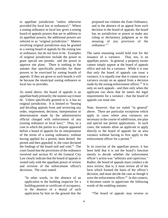to appellate jurisdiction "unless otherwise provided [by local law or ordinance]." Where a zoning ordinance or local law gives a zoning board of appeals powers that are in addition to its appellate powers, the additional powers are referred to as "original jurisdiction." Matters involving original jurisdiction may be granted to a zoning board of appeals by the zoning law or ordinance, but do not have to be. Examples of original jurisdiction include the power to grant special use permits and the power to approve site plans. There is nothing in the statutes that specifically provides for these powers to be exercised by zoning boards of appeals. If they are given to such boards it will be because the municipal zoning ordinance or local law so provides.

As noted above, the board of appeals is an appellate body primarily; the statutes say it must be. Unless specifically granted to it, it has no original jurisdiction. It is limited to "hearing and deciding appeals from and reviewing any order, requirement, decision, interpretation or determination made by the administrative official charged with enforcement of any [zoning ordinance or local law]." Thus, in a case in which the parties to a dispute appeared before a board of appeals for its interpretation of the terms of a zoning ordinance, without having applied for a permit, been denied the permit and then appealed it, the court declared the findings of the board null and void.<sup>16</sup> The court found that the provisions of the ordinance involved and section 81 of the General City Law clearly indicate that the board of appeals is vested only with the appellate power of review and revision of the enforcement officer's decisions. The court stated:

"In other words, in the absence of an application to the building inspector for a building permit or certificate of occupancy, in the absence of a denial of such application by him on the ground that the

proposed use violates the Zone Ordinance, and in the absence of an appeal from such decision to the board of appeals, the board has no jurisdiction or power to make any ruling or declaratory judgment as to the meaning of any provision of the ordinance."<sup>17</sup>

The same reasoning would hold true for the issuance of a variance. That, too, is an appellate power. In general, a property owner cannot simply appear at the board of appeals office and ask for a variance. While it is true that only the board of appeals can issue a variance, it is equally true that it cannot issue a variance except on an appeal from a decision made by the zoning enforcement officer.<sup>18</sup> It is only on such appeals - and then only when the applicant can show that he meets the legal requirements for a variance - that the board of appeals can issue one.

Note, however, that we stated "in general" above. There are particular exceptions which apply in cases where area variances are necessary in the course of subdivision, site plan and special use permit applications. In such cases, the statutes allow an applicant to apply directly to the board of appeals for an area variance without having to first apply to the enforcement officer for a permit.<sup>19</sup>

In its exercise of the appellate power, it has been held that it is not the board's function merely to decide whether the enforcement officer's action was "arbitrary and capricious." Rather, the board of appeals must conduct a *de novo* review; that is, it must review all of the facts which formed the basis of the officer's decision, and must decide the case as though it were the enforcement officer. $^{20}$  In this context, it becomes easier to appreciate the following words of the enabling statutes:

"The board of appeals may reverse or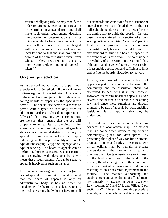affirm, wholly or partly, or may modify the order, requirement, decision, interpretation or determination appealed from and shall make such order, requirement, decision, interpretation or determination as in its opinion ought to have been made in the matter by the administrative official charged with the enforcement of such ordinance or local law and to that end shall have all the powers of the administrative official from whose order, requirement, decision, interpretation or determination the appeal is taken."<sup>21</sup>

#### **Original jurisdiction**

As has been pointed out, a board of appeals may exercise original jurisdiction if the local law or ordinance gives it this jurisdiction. An example of the type of original jurisdiction delegated to zoning boards of appeals is the special use permit. The special use permit is a means to permit certain types of uses only after an administrative decision, based on requirements fully set forth in the zoning law. The conditions are the sort that ensure that the use will properly relate to its surroundings. For example, a zoning law might permit gasoline stations in commercial districts, but only by special use permit - which is to be issued upon a showing that the proposed facility will have X type of landscaping, Y type of signage, and Z type of fencing. The board of appeals can be the body authorized to issue special use permits upon a showing by the developer that she/he meets these requirements. As can be seen, no appeal is involved in such an instance.

In exercising this original jurisdiction (in the case of special use permits), it should be noted that the board of appeals is only an administrative body; it has no power to legislate. While the functions delegated to it by the local governing body do not have to spell out standards and conditions for the issuance of special use permits in detail down to the last nail, suitable standards do have to be set forth in the zoning law to guide the board. In one case<sup>22</sup>, it was claimed that a section of a town zoning ordinance requiring "adequate" parking facilities for proposed construction was unconstitutional, because it failed to establish any standard to guide the board of appeals in the exercise of its discretion. The court upheld the validity of the section on the ground that, although stated in general terms, it was capable of reasonable application and sufficient to limit and define the board's discretionary powers.

Usually, we think of the zoning board of appeals as part of the zoning mechanism of the community, and the discussion above has attempted to deal with it in that context. However, the zoning board of appeals is given several functions that do not relate to the zoning law, and since these functions are directly granted to boards of appeals by state enabling legislation, it is important that they be understood.

The first of these non-zoning functions concerns the local official map. An official map is a police power device to implement a community's plans for development by protecting the rights-of-way for future streets, drainage systems and parks. These are shown on an official map, but remain in private ownership until the community is ready to purchase them. Certain restrictions are imposed on the landowner's use of the land in the interim, the idea being to save the community the greater cost of acquiring improved land or resorting to an undesirable adjustment in the facility. The statutes authorizing the establishment and amendment of official maps are General City Law, sections 26 and 29, Town Law, sections 270 and 273, and Village Law, section 7-724. The statutes provide a procedure whereby an owner whose land is shown on a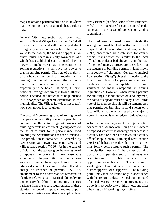map can obtain a permit to build on it. It is here that the zoning board of appeals has a role to play.

General City Law, section 35, Town Law, section 280, and Village Law, section 7-734 all provide that if the land within a mapped street or highway is not yielding a fair return on its value to the owner, the board of appeals - or other similar board in any city, town or village which has established such a board having power to make variances or exceptions in zoning regulations - shall have the power to grant a building permit. The vote of a majority of the board's membership is required and a hearing must be held, at which the parties in interest and others must be given the opportunity to be heard. In cities, 15 days' notice of hearing is required; in towns, 10 days' notice is needed, and notice must be published in a newspaper of general circulation in the municipality. The Village Law does not specify how such notice is to be given.

The second "non-zoning" area of zoning board of appeals responsibility concerns a prohibition contained in the statutes against issuance of building permits unless streets giving access to the structure exist (or a performance bond covering their construction has been furnished). The prohibition is contained in General City Law, section 36, Town Law, section 280-a and Village Law, section 7-736. As in the case of official maps, the statutes give the zoning board of appeals the power to make reasonable exceptions to the prohibition, or grant an area variance, if an applicant appeals to it from an adverse decision of the administrative official in charge of issuance of permits. A 1996 amendment to the above statutes removed an obsolete reference to "practical difficulty or unnecessary hardship." In granting an area variance from the access requirements of these statutes, the board of appeals now must apply the same criteria as are otherwise applicable to

area variances (see discussion of area variances, *infra*). The procedure for such an appeal is the same as in the cases of appeals on zoning regulations .

The third area of board power outside the zoning framework has to do with county official maps. Under General Municipal Law, section 239-e, procedures are established for county official maps which are similar to the local official maps described above. As in the case of the local maps, a procedure is set forth for the issuance of building permits in land shown on a county official map. General Municipal Law, section 239-e(7) gives this function to the local zoning board of appeals "or other board established by the municipality . . . to issue variances or make exceptions in zoning regulations." However, when issuing permits for buildings in lands shown on a county map, the board of appeals must do so by a two-thirds vote of its membership (it will be remembered that permits for building in land shown on a local official map may be issued by a majority vote). A hearing is required, on 10 days' notice.

A fourth non-zoning area of board jurisdiction concerns the issuance of building permits where a proposed structure has frontage on or access to a county road or other site shown on a county official map. General Municipal Law, section 239-f establishes a procedure that municipalities must follow before issuing such a permit. The municipality must notify the county planning board and superintendent of highways (or commissioner of public works) of an application for such a permit. The latter has 10 working days to report back to the municipality his/her approval or disapproval. The building permit may then be issued only in accordance with this report - unless the local zoning board of appeals varies the report's requirements. To do so, it must act by a two-thirds vote, and after a hearing on 10 working days' notice.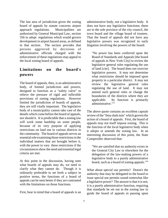The last area of jurisdiction given the zoning board of appeals by statute concerns airport approach regulations. Municipalities are authorized by General Municipal Law, section 356 to adopt regulations which would govern development in airport hazard areas, as defined in that section. The section provides that persons aggrieved by decisions of administrative officials charged with the enforcement of these regulations may appeal to the local zoning board of appeals.

#### **Limitations on the board's powers**

The board of appeals, then, is an administrative body, of limited jurisdiction and powers, designed to function as a "safety valve" to relieve the pressure of rigid and inflexible provisions of zoning regulations. However limited the jurisdiction of boards of appeals, they are still vitally important. The legislative body of a municipality cannot take care of the details which come before the board of appeals, nor should it. It is predictable that a zoning law will work some hardship on some people, because of its very purpose of applying restrictions on land use in various districts in the community. The board of appeals serves an essential role examining those restrictions in the individual matters that are brought before it, with the power to vary these restrictions if the circumstances show the need and essential legal criteria are met.

At this point in the discussion, having seen what boards of appeals may do, we need to clarify what they cannot do. Though it is ordinarily preferable to set forth a subject in positive terms, the functions of a board of appeals can be seen better if they are contrasted with the limitations on those functions.

First, bear in mind that a board of appeals is an

administrative body, not a legislative body. It does not have any legislative functions; these are in the sole province of the city council, the town board and the village board of trustees. That the board of appeals did not have any legislative powers was recognized in early litigation involving the powers of the board:

"No power has been conferred upon the Board of Standards and Appeals [the board of appeals in New York City] to review the legislative general rules regulating the use of land [cite]. The board does not exercise legislative powers. It may not determine what restrictions should be imposed upon property in a particular district. It may not review the legislative general rules regulating the use of land. It may not amend such general rules or change the boundaries of the districts where they are applicable. Its function is primarily administrative."<sup>23</sup>

The above quote contains an excellent capsule review of the "thou shalt nots" which govern the action of a board of appeals. First, the board of appeals may not itself impose zoning. This is the function of the local legislative body when it adopts or amends the zoning law. In an interesting discussion of this point, the State Comptroller observed that:

"We are satisfied that no authority exists in the General City Law or elsewhere for the delegation of the law-making powers of a legislative body to a purely administrative board, such as a board of zoning appeals."<sup>24</sup>

What about special use permits? Doesn't the authority that may be delegated to the board to issue special use permits sound somewhat like a legislative power? The answer is that it is not; it is a purely administrative function, requiring that standards be set out in the zoning law to guide the board of appeals in passing upon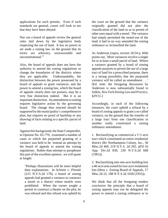applications for such permits. Even if such standards are general, courts will look to see that they have been obeyed.

Nor can a board of appeals review the general rules laid down by the legislative body respecting the use of land. It has no power to set aside a zoning law on the ground that its terms are arbitrary, unreasonable and unconstitutional  $^{25}$ 

Also, the board of appeals does not have the authority to amend the zoning regulations or change the boundaries of the districts where they are applicable. Understandably, the distinction between the power possessed by a board of appeals to grant variances, and the power to amend a zoning law, which the board of appeals clearly does not possess, may be a very fine distinction indeed. But it is an important distinction. An amendment to zoning requires legislative action by the governing board. The change thus enacted should be supported by the municipality's comprehensive plan, but requires no proof of hardship or any showing of facts relating to a specific parcel of land.

Against this background, the State Comptroller, in Opinion No. 65-770, examined a number of cases in which the purported granting of a variance was held to be instead an attempt by the board of appeals to amend the zoning regulations. Rather than attempt to paraphrase this part of the excellent opinion , we will quote at length:

"Perhaps illustrations will be more helpful than explanations. In *Schmitt v. Plonski* (215 N.Y.S.2d 170), a board of zoning appeals had granted a variance to construct a motel in a district where motels were prohibited. When the owner sought a permit to construct a theater on the plot, he was refused and this refusal was upheld by the court on the ground that the variance originally granted did not alter the classification of the land so as to permit of other uses equal with a motel. The variance had simply permitted the motel-use of the land; it had in no way amended the zoning ordinance or reclassified the land.

As Anderson (supra, section 18.54 p. 604) points out, `Most variances involve a single lot or at least a small parcel of land. Where a variance granted by a board of zoning appeals purports to permit the use of a large tract of land for a proscribed purpose, there is a strong possibility that the purported variance will be called an amendment . . .' [Ed. note: the foregoing discussion by Anderson is now substantially found in Salkin, *New York Zoning Law and Practice*, §29:51.]

Accordingly, in each of the following instances, the court upheld a refusal by a board of zoning appeals to grant a so-called variance, on the ground that the transfer of a large tract from one classification to another really constituted a zoning ordinance amendment:

1. Reclassifying as commercial a 5 ½ acre tract which constituted an entire residential district (Re Northampton Colony, Inc., 30 Misc.2d 469, 219 N.Y.S. 2d 292, aff'd 16 App. Div.2d 830, 230 N.Y.S.2d 668 (1961)).

2. Reclassifying into one-acre building lots a 40-acre area zoned for two-acre residential lots (Hess v. Zoning Board of Appeals, 17 Misc.2d 22, 188 N.Y.S.2d 1028 (1955)).

We think that all the foregoing renders conclusive the principle that a board of zoning appeals may not be delegated the power to amend a zoning ordinance or to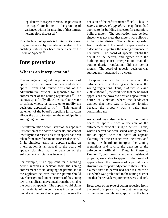legislate with respect thereto. Its powers in this regard are limited to the granting of variances within the meaning of that term as hereinbefore discussed."

That the board of appeals is limited in its power to grant variances by the criteria specified in the enabling statutes has been made clear by the Court of Appeals.<sup>26</sup>

### **Interpretations**

#### **What is an interpretation?**

The zoning enabling statutes provide boards of appeals with the power to hear and decide appeals from and review decisions of the administrative official responsible for the enforcement of the zoning regulations.<sup>27</sup> The statutes specifically allow the board to reverse or affirm, wholly or partly, or to modify the decisions appealed to  $it.^{28}$  This general statement of the board's appellate jurisdiction allows the board to interpret the municipality's zoning regulations.

The interpretation power is part of the appellate jurisdiction of the board of appeals, and cannot lawfully be exercised unless an appeal has been taken from an enforcement officer's decision.<sup>29</sup> In its simplest terms, an appeal seeking an interpretation is an appeal to the board of appeals claiming that the decision of the enforcement official was incorrect.

For example, if an applicant for a building permit receives a decision from the zoning enforcement official denying the permit, and if the applicant believes that the permit should have been granted under the terms of the zoning law, the applicant may appeal from the denial to the board of appeals. The appeal would claim that the denial of the permit was incorrect, and would ask the board of appeals to reverse the

decision of the enforcement official. Thus, in *Hinna v. Board of Appeals*<sup>30</sup>, the applicant had applied to the building inspector for a permit to build a motel. The application was denied, since it was not clear that motels were allowed in the zoning district. The applicant appealed from that denial to the board of appeals, seeking a decision interpreting the zoning ordinance in her favor. The board of appeals upheld the denial of the permit, and agreed with the building inspector's interpretation that the zoning district regulations did not permit motels. The board of appeals' decision was subsequently sustained by a court.

The appeal could also be from a decision of the enforcement official citing a violation of the zoning regulations. Thus, in *Matter of Levine v. Buxenbaum*<sup>31</sup>, the court held that the board of appeals has the power to hear an appeal from a notice of violation where the landowner claimed that there was in fact no violation because the property was a valid nonconforming use.

An appeal may also be taken to the zoning board of appeals from a decision of the enforcement official *issuing* a permit. Thus, where a permit has been issued, a neighbor may file an appeal with the board of appeals claiming that the issuance was incorrect, and asking the board to interpret the zoning regulations and reverse the decision of the enforcement official.<sup>32</sup> Thus, in *Pansa v.*  $Damiano<sup>33</sup>$ , petitioners, who owned residential property, were able to appeal to the board of appeals from the issuance of a permit for a structure on property adjacent to theirs. They claimed that the permit had been issued for a use which was prohibited in the zoning district and that the setback requirements were violated.

Regardless of the type of action appealed from, the board of appeals may interpret the language of the zoning regulations, apply it to the facts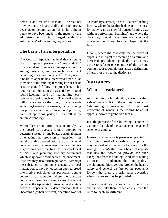before it and render a decision. The statutes provide that the board shall make such order, decision or determination "as in its opinion ought to have been made in the matter by the administrative official charged with the enforcement" of the zoning regulations.

#### **The basis of an interpretation**

The Court of Appeals has held that a zoning board of appeals performs a "quasi-judicial" function when it renders an interpretation of a zoning provision, and, as such, should act according to its own precedent. $34$  Thus, where a board of appeals has interpreted a particular provision of the municipal zoning law in a prior case, it should follow that precedent. This requirement points up the essentiality of good record-keeping, and of maintaining easy reference to prior decisions. The ideal system will cross-reference the filing of case records according to several parameters, such as: zoning law provision interpreted; location of property; name of appealing party(ies); as well as by simple chronology.

Where there are no prior decisions to rely on, the board of appeals should attempt to determine the governing board's original intent in enacting the provision in question. arriving at this determination the board should consider prior documentation such as: minutes of governing board meetings; testimony of local officials; and planning advisory documents which may have accompanied the enactment. Case law may also furnish guidance. Although the substance of zoning is generally a local matter, courts have on occasion applied broad interpretive principles in particular zoning contexts, for example, where the question concerns a customary accessory use. In a recent decision, the Appellate Division upheld a city's board of appeals in its determination that a "beaming" (or hair-removal) operation was not a customary accessory use to a leather finishing facility, where the facility had been in business for many years as a lawful nonconforming use, without performing "beaming," and where the "beaming" would have introduced chemical processes not theretofore employed at the facility.<sup>35</sup>

Finally, where the case calls for the board of appeals to interpret the meaning of a term, and there is no precedent to guide the board, it may desire to refer to one or more of the various zoning treatises containing standard definitions of terms, or even to the dictionary.

### **Variances**

#### **What is a variance?**

As noted in the introduction, various "safety valves" were built into the original New York City zoning ordinance in 1916, the most important of which is the zoning board of appeals' power to grant variances.

It is the purpose of the following sections to examine the role of the variance in the general scheme of zoning.

In essence, a variance is permission granted by the zoning board of appeals so that property may be used in a manner not allowed by the zoning. It is *only* the zoning board of appeals that has the power to provide for such exceptions from the zoning. And since zoning is meant to implement the municipality's development objectives and protect the health, safety and general welfare of the people, it follows that there are strict rules governing when variances may be provided.

There are two types of variances - use and area and we will take them up separately since the rules for each are different.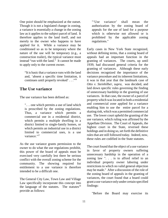One point should be emphasized at the outset. Though it is not a legislated change in zoning, a variance is essentially a change in the zoning law as it applies to the subject parcel of land. It therefore applies to the land itself, and not merely to the owner who happens to have applied for it. While a variance may be conditioned so as to be temporary where the nature of the use will be temporary (e.g., a construction trailer), the typical variance must instead "run with the land." It cannot be made to apply only to the current owner.

"It is basic that a variance runs with the land and, 'absent a specific time limitation, it continues until properly revoked' . . ."<sup>36</sup>

#### **The Use variance**

The use variance has been defined as:

". . . one which permits a use of land which is proscribed by the zoning regulations. Thus, a variance which permits a commercial use in a residential district, which permits a multiple dwelling in a district limited to single-family homes, or which permits an industrial use in a district limited to commercial uses, is a use variance."37

As the use variance grants permission to the owner to do what the use regulations prohibit, this power of the board of appeals must be exercised very carefully lest there be serious conflict with the overall zoning scheme for the community. The showing required for entitlement to a use variance is therefore intended to be a difficult one.

The General City Law, Town Law and Village Law specifically incorporate this concept into the language of the statutes. The statutes $38$ provide as follows:

"'Use variance' shall mean the authorization by the zoning board of appeals for the use of land for a purpose which is otherwise not allowed or is prohibited by the applicable zoning regulations."

Early cases in New York State recognized, without defining terms, that a zoning board of appeals had an important function in the granting of variances. The courts, up until 1939, had discussed general criteria for the granting of variances. Although these early decisions recognized the importance of the variance procedure and its inherent limitations, it was in that year that the landmark case of *Otto v. Steinhilber*, *supra*, was decided, and laid down specific rules governing the finding of unnecessary hardship in the granting of use variances. In that case, the owner of a parcel of property which was located in both a residential and commercial zone applied for a variance enabling him to use the entire parcel for a skating rink, which was a permitted commercial use. The lower court upheld the granting of the use variance, which ruling was affirmed by the Appellate Division. The Court of Appeals, the highest court in the State, reversed these holdings and in doing so, set forth the definitive rules that are still followed today. Indeed, now, these rules are codified in the State statutes.

The court found that the object of a use variance in favor of property owners suffering unnecessary hardship in the operation of a zoning law ". . . is to afford relief to an individual property owner laboring under restrictions to which no valid general objection may be made." After a discussion of the role of the zoning board of appeals in the granting of variances, the court found that a board could grant a use variance only under certain specified findings:

"Before the Board may exercise its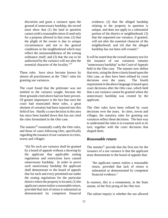discretion and grant a variance upon the ground of unnecessary hardship, the record must show that (1) the land in question cannot yield a reasonable return if used only for a purpose allowed in that zone; (2) that the plight of the owner is due to unique circumstances and not to the general conditions in the neighborhood which may reflect the unreasonableness of the zoning ordinance itself; and (3) that the use to be authorized by the variance will not alter the essential character of the locality."<sup>39</sup>

These rules have since become known by almost all practitioners as the "*Otto*" rules for granting use variances.

The court found that the petitioner was not entitled to the variance sought, because the three grounds cited above had not been proven. Of greater importance is the fact that once the court had enunciated these rules, a great element of certainty had been injected into this field of law. Hardly a court decision in this area has since been handed down that has not cited the rules formulated in the *Otto* case.

The statutes<sup> $40$ </sup> essentially codify the *Otto* rules, and those of cases following *Otto*, specifically regarding the issuance of use variances in cities, towns and villages:

"(b) No such use variance shall be granted by a board of appeals without a showing by the applicant that applicable zoning regulations and restrictions have caused unnecessary hardship. In order to prove such unnecessary hardship the applicant shall demonstrate to the board of appeals that for each and every permitted use under the zoning regulations for the particular district where the property is located, (1) the applicant cannot realize a reasonable return, provided that lack of return is substantial as demonstrated by competent financial

evidence; (2) that the alleged hardship relating to the property in question is unique, and does not apply to a substantial portion of the district or neighborhood; (3) that the requested use variance, if granted, will not alter the essential character of the neighborhood; and (4) that the alleged hardship has not been self-created."

It will be noted that the overall statutory test for the issuance of use variances remains "unnecessary hardship" as the Court of Appeals held in the *Otto* case. The statutes now define that term, using the three criteria based upon the *Otto* case, as they have been refined by court decisions over the years. The fourth requirement in the above language is based upon court decisions after the *Otto* case, which held that a use variance cannot be granted where the unnecessary hardship was created by the applicant.

The *Otto* rules have been refined by court decisions over the years. In cities, towns and villages, the statutory rules for granting use variances reflect these decisions. The best way to understand the rules is to examine each in its turn, together with the court decisions that shaped them.

#### *Reasonable return*

The statutes $41$  provide that the first test for the issuance of a use variance is that the applicant must demonstrate to the board of appeals that:

"the applicant cannot realize a reasonable return, provided that lack of return is substantial as demonstrated by competent financial evidence."

In essence, this is a restatement, in the State statute, of the first prong of the *Otto* test.

The salient inquiry is whether the use allowed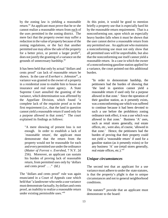by the zoning law is yielding a reasonable return.<sup> $42$ </sup> An applicant must prove that he or she cannot realize a reasonable return from each of the uses permitted in the zoning district. The mere fact that the property owner may suffer a reduction in the value of property because of the zoning regulations, or the fact that another permitted use may allow the sale of the property for a better price, or permit a larger profit<sup>43</sup>, does not justify the granting of a variance on the grounds of unnecessary hardship.<sup>44</sup>

It has been held that only by actual "dollars and cents proof" can lack of reasonable return be shown. In the case of *Everhart v. Johnston*<sup>45</sup>, a variance was granted to the owner of a property in a residential zone to enable him to house an insurance and real estate agency. A State Supreme Court annulled the granting of the variance, which determination was affirmed by the Appellate Division, which found "a complete lack of the requisite proof as to the first requirement (i.e., that the land in question cannot yield a reasonable return if used only for a purpose allowed in that zone)." The court explained its findings as follows:

"A mere showing of present loss is not enough. In order to establish a lack of `reasonable return', the applicant must demonstrate that the return from the property would not be reasonable for each and every permitted use under the ordinance (*Matter of Forrest v. Evershed*, 7 N.Y. 2d 256). Moreover, an applicant can sustain his burden of proving lack of reasonable return, from permitted uses only by 'dollars and cents proof'  $\ldots$ " (Id.)

The "dollars and cents proof" rule was again enunciated in a Court of Appeals case which held that "a landowner who seeks a use variance must demonstrate factually, by dollars and cents proof, an inability to realize a reasonable return under existing permissible uses." $46$ 

At this point, it would be good to mention briefly a property use that is especially hard hit by the reasonable return requirement. That is a nonconforming use, upon which an especially heavy burden falls when it must be shown that the user cannot derive a reasonable return from any permitted use. An applicant who maintains a nonconforming use must not only show that all permitted uses will be unprofitable, but also that the nonconforming use itself cannot yield a reasonable return. In a case in which the owner of a nonconforming gasoline station applied for a variance, the court pointed out this additional burden.

"In order to demonstrate hardship, the petitioners had the burden of showing that 'the land in question cannot yield a reasonable return if used only for a purpose allowed in that zone.' Since the operation of their gasoline station, as it presently exists, was a nonconforming use which was suffered to continue because it had been devoted to such a use before the prohibitory zoning ordinance took effect, it was a use which was allowed in that zone.' Business 'A' uses, such as retail stores generally, real estate offices, etc., were also, of course, 'allowed in that zone.' Hence, the petitioners had the burden of proving that their property could not yield a 'reasonable return' if used for a gasoline station (as it presently exists) or for any business 'A' use (retail stores generally, real estate offices, etc.)."<sup>47</sup>

#### *Unique circumstances*

The second test that an applicant for a use variance must adhere to under the state statutes, is that the property's plight is due to unique circumstances and not to general neighborhood conditions.

The statutes<sup>48</sup> provide that an applicant must demonstrate to the board: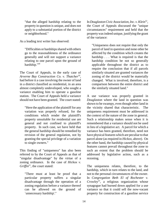"that the alleged hardship relating to the property in question is unique, and does not apply to a substantial portion of the district or neighborhood."

As a leading text writer has observed:

"Difficulties or hardships shared with others go to the reasonableness of the ordinance generally and will not support a variance relating to one parcel upon the ground of hardship."<sup>49</sup>

The Court of Appeals, in the early case of Arverne Bay Construction Co. v. Thatcher<sup>50</sup>, had before it a case involving the owner of land in a district classified as residential, in an area almost completely undeveloped, who sought a variance enabling him to operate a gasoline station. The Court of Appeals held a variance should not have been granted. The court stated:

"Here the application of the plaintiff for any variation was properly refused, for the conditions which render the plaintiff's property unsuitable for residential use are general and not confined to plaintiff's property. In such case, we have held that the general hardship should be remedied by revision of the general regulation, not by granting the special privilege of a variation to single owners."

This finding of "uniqueness" has also been referred to by the Court of Appeals as that of "singular disadvantage" by the virtue of a zoning ordinance. In the case of *Hickox v. Griffin*<sup>51</sup>, the court stated:

"There must at least be proof that a particular property suffers a singular disadvantage through the operation of a zoning regulation before a variance thereof can be allowed on the ground of `unnecessary hardship'."

In *Douglaston Civic Association, Inc. v. Klein<sup>52</sup>,* the Court of Appeals discussed the "unique circumstances" requirement and held that the property was indeed unique, justifying the grant of the variance:

"Uniqueness does not require that only the parcel of land in question and none other be affected by the condition which creates the hardship . . . What is required is that the hardship condition be not so generally applicable throughout the district as to require the conclusion that if all parcels similarly situated are granted variances the zoning of the district would be materially changed. What is involved, therefore, is a comparison between the entire district and the similarly situated land."

A use variance was properly granted in *Douglaston* where the land in question was shown to be swampy, even though other land in the vicinity shared that characteristic. The uniqueness requirement must be addressed in the context of the nature of the zone in general. Such a relationship makes sense when it is remembered that a variance should not be used in lieu of a legislative act. A parcel for which a variance has been granted, therefore, need not have physical features which are peculiar to that parcel alone (as required in *Hickox*, above). On the other hand, the hardship caused by physical features cannot prevail throughout the zone to such an extent that the problem should be addressed by legislative action, such as a rezoning.

The uniqueness relates, therefore, to the hardship, which in turn relates to the land, and not to the personal circumstances of the owner. In *Congregation Beth El of Rochester v. Crowley*<sup>53</sup>, a religious organization whose synagogue had burned down applied for a use variance so that it could sell the now-vacant property for construction of a gasoline service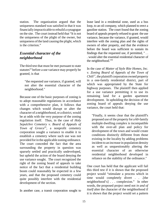station. The organization argued that the uniqueness standard was satisfied in that it was financially impracticable to rebuild a synagogue on the site. The court instead held that "It is not the uniqueness of the plight of the owner, but uniqueness of the land causing the plight, which is the criterion."

#### *Essential character of the neighborhood*

The third test that must be met pursuant to state statutes<sup> $54$ </sup> before a use variance may properly be granted, is that

"the requested use variance, if granted, will not alter the essential character of the neighborhood."

Because one of the basic purposes of zoning is to adopt reasonable regulations in accordance with a comprehensive plan, it follows that changes which would disrupt or alter the character of a neighborhood, or a district, would be at odds with the very purpose of the zoning regulation itself. Thus, in the case of *Holy Sepulchre Cemetery v. Board of Appeals of*  $T<sub>own of</sub> Greece<sup>55</sup>, a nonprofit.$ corporation sought a variance to enable it to establish a cemetery where such use was not provided for in the applicable zoning ordinance. The court conceded the fact that the area surrounding the property in question was sparsely settled and practically undeveloped, but upheld the action of the board denying the use variance sought. The court recognized the right of the zoning board of appeals to take notice of the fact that a residential building boom could reasonably be expected in a few years, and that the proposed cemetery could quite possibly interfere with the residential development of the section.

In another case, a transit corporation sought to

lease land in a residential zone, used as a bus loop, to an oil company, which planned to erect a gasoline station. The court found that the zoning board of appeals properly refused to grant the use variance, because the variance, if granted, would interfere with the zoning plan and the rights of owners of other property, and that the evidence before the board was sufficient to sustain its findings that the requested use, if permitted, " . . . would alter the essential residential character of the neighborhood."<sup>56</sup>

In the case of *Matter of Style Rite Homes, Inc. v. Zoning Board of Appeals of the Town of Chili<sup>57</sup>*, the plaintiff corporation owned property in a one-family residential district, part of which was appropriated by the State for highway purposes. The plaintiff then applied for a use variance permitting it to use its remaining land for a garden apartment development. In upholding the decision of the zoning board of appeals denying the use variance, the court held that:

"Finally, it seems clear that the plaintiff's proposed use of the property for a 60-family multiple dwelling complex is incompatible with the over-all plan and policy for development of the town and would create conditions distinctly different from those existing in the locality by adding problems incident to an increase in population density as well as unquestionably altering the essential character of an otherwise residential neighborhood developed in reliance on the stability of the ordinance."

One court has held that the applicant will fail this third test if it is shown that the proposed project would "stimulate a process which in time would completely divert . . . . [the neighborhood's] . . . complexion." In other words, the proposed project need not *in and of itself* alter the character of the neighborhood if it is shown that the project would set a pattern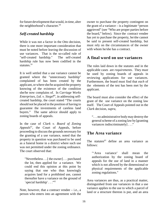for future development that would, in time, alter the neighborhood's character.<sup>58</sup>

#### *Self-created hardship*

While it was not a factor in the *Otto* decision, there is one more important consideration that must be noted before leaving the discussion of use variances. That is the so-called rule of "self-created hardship." The self-created hardship rule has now been codified in the statutes.<sup>59</sup>

It is well settled that a use variance cannot be granted where the "unnecessary hardship" complained of has been created by the applicant, or where she/he acquired the property knowing of the existence of the condition she/he now complains of. In *Carriage Works Enterprises, Ltd. v. Siegel*<sup>60</sup>, in addressing selfcreated hardship, the court stated "The courts should not be placed in the position of having to guarantee the investments of careless land buyers." The same advice should apply to zoning boards of appeals.

In the case of *Clark v. Board of Zoning* Appeals<sup>61</sup>, the Court of Appeals, before proceeding to discuss the grounds necessary for the granting of a use variance, noted that the property in question was purchased to be used as a funeral home in a district where such use was not permitted under the zoning ordinance. The court observed that:

"Nevertheless . . .[ the owner] . . . purchased the lot, then applied for a variance. We could end this opinion at this point by saying that one who thus knowingly acquires land for a prohibited use, cannot thereafter have a variance on the ground of `special hardship' . . ."<sup>62</sup>

Note, however, that a contract vendee  $-$  i.e., a person who enters into an agreement with the

owner to purchase the property contingent on the grant of a variance – is a legitimate "person aggrieved" (see "Who are proper parties before the board," below). Since the contract vendee has yet to purchase the property, he/she cannot be said to present self-created hardship, but must rely on the circumstances of the owner with whom he/she has a contract.

#### **A final word on use variances**

The rules laid down in the statutes and in the applicable cases are *requirements*. They *must* be used by zoning boards of appeals in reviewing applications for use variances. Furthermore, the board must find that *each* of the elements of the test has been met by the applicant.

The board must also consider the effect of the grant of the use variance on the zoning law itself. The Court of Appeals pointed out in the *Clark* decision, *supra*,

". . . no administrative body may destroy the general scheme of a zoning law by [granting variances indiscriminately] . . ."

#### **The Area variance**

The statutes<sup> $63$ </sup> define an area variance as follows:

"'Area variance' shall mean the authorization by the zoning board of appeals for the use of land in a manner which is not allowed by the dimensional or physical requirements of the applicable zoning regulations."

Area variances are thus, as a practical matter, distinguished from use variances in that a use variance applies to the use to which a parcel of land or a structure thereon is put, and an area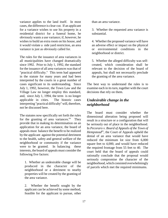variance applies to the land itself. In most cases, the difference is clear-cut. If an applicant for a variance wishes to use his property in a residential district for a funeral home, he obviously wants a use variance; if, however, he wishes to build an extra room on his house, and it would violate a side yard restriction, an area variance is just as obviously called for.

The rules for the issuance of area variances in all municipalities have changed dramatically since 1992. Prior to July 1, 1992, the standard for the issuance of all area variances was that of "practical difficulty." This term had appeared in the statute for many years and had been interpreted by the courts in a great number of cases significant to its understanding. Since July 1, 1992, however, the Town Law and the Village Law no longer employ this standard, and, since July 1, 1994, the term is no longer applicable in cities. The historic cases interpreting "practical difficulty" will, therefore, not be discussed here.

The statutes now specifically set forth the rules for the granting of area variances. $<sup>64</sup>$  They</sup> provide that in making its determination on an application for an area variance, the board of appeals must balance the benefit to be realized by the applicant against the potential detriment to the health, safety and general welfare of the neighborhood or community if the variance were to be granted. In balancing these interests, the board of appeals must consider the following five factors:

1. Whether an undesirable change will be produced in the character of the neighborhood or a detriment to nearby properties will be created by the granting of the area variance.

2. Whether the benefit sought by the applicant can be achieved by some method, feasible for the applicant to pursue, other than an area variance.

3. Whether the requested area variance is substantial.

4. Whether the proposed variance will have an adverse effect or impact on the physical or environmental conditions in the neighborhood or district.

5. Whether the alleged difficulty was selfcreated, which consideration shall be relevant to the decision of the board of appeals, but shall not necessarily preclude the granting of the area variance.

The best way to understand the rules is to examine each in its turn, together with the court decisions that rely on them.

#### *Undesirable change in the neighborhood*

The board must consider whether the dimensional alteration being proposed will result in a structure or a configuration that will be seriously out of place in the neighborhood. In *Pecoraro v. Board of Appeals of the Town of Hempstead*<sup>65</sup>, the Court of Appeals upheld the denial of an area variance that would have reduced the minimum lot size from 6,000 square feet to 4,000, and would have reduced the required frontage from 55 feet to 40. The court held that the board of appeals could rationally conclude that the proposal would seriously compromise the character of the neighborhood, which consisted overwhelmingly of parcels which met the required minimums.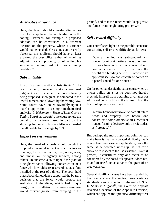#### *Alternative to variance*

Here, the board should consider alternatives open to the applicant that are lawful under the zoning. Perhaps, for example, a proposed addition can be constructed in a different location on the property, where a variance would not be needed. Or, as one court recently observed, the applicant should have at least explored the possibility, either of acquiring adjoining vacant property, or of selling his substandard unimproved lot to an adjoining neighbor.<sup>66</sup>

#### *Substantiality*

It is difficult to quantify "substantiality." The board should, however, make a reasoned judgment as to whether the nonconformity being proposed is too great, as compared to the lawful dimensions allowed by the zoning law. Some courts have looked favorably upon a board's application of a simple mathematical analysis. In *Heitzman v. Town of Lake George* Zoning Board of Appeals<sup>67</sup>, the court upheld the denial of a variance based in part on the showing that construction would have exceeded the allowable lot coverage by 15%.

#### *Impact on environment*

Here, the board of appeals should weigh the proposal's potential impact on such factors as drainage, traffic circulation, dust, noise, odor, and impact on emergency services, among others. In one case, a court upheld the grant of a height variance allowing construction of a fence which would screen several exhaust fans installed at the rear of a diner. The court held that substantial evidence supported the board's decision that the fence would protect the aesthetics of the diner, which had unique design, that installation of a grease reservoir would prevent grease from dripping to the

ground, and that the fence would keep grease and fumes from neighboring property.<sup>68</sup>

#### *Self-created difficulty*

One court<sup> $69$ </sup> shed light on the possible scenarios constituting self-created difficulty as follows:

"Where the lot was substandard and nonconforming at the time it was purchased . . . , or where construction occurred due to contractor's error . . . , or without the benefit of a building permit . . , or where an applicant seeks to construct three homes on a parcel zoned for one house."

On the other hand, said the same court, when an owner builds on a lot he does not thereby preclude himself from obtaining a variance for additional construction in the future. Thus, the board of appeals should not

"require homeowners to anticipate all future needs and property uses before one constructs a home, otherwise all subsequent nonconforming desires would be rejected as self-created."<sup>70</sup>

But perhaps the most important point we can make here is that self-created difficulty, as it relates to an area variance application, is not the same as self-created *hardship,* as set forth above with respect to the use variance. Even if present, it constitutes only one factor to be considered by the board of appeals; it does not, in and of itself, act as a bar to the grant of an area variance.

Several significant cases have been decided by the courts since the revised area variance standards went into effect in the early 1990's. In *Sasso v. Osgood*<sup>11</sup>, the Court of Appeals reversed a decision of the Appellate Division, which had applied the "practical difficulty" test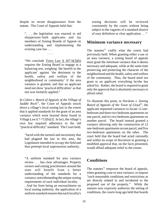despite its recent disappearance from the statute. The Court of Appeals held that:

". . . the legislation was enacted to aid nlaypersons–both applicants and lay members of Zoning Boards of Appeal--in understanding and implementing the existing case law . . .

. . . .

"We conclude Town Law § 267-b(3)(b) requires the Zoning Board to engage in a balancing test, weighing 'the benefit to the applicant' against 'the detriment to the health, safety and welfare of the neighborhood or community' if the area variance is granted, and that an applicant need not show 'practical difficulties' as that test was formerly applied."

In *Cohen v. Board of Appeals of the Village of Saddle Rock*<sup> $72$ </sup>, the Court of Appeals struck down a village's local zoning law to the extent that it applied standards for the grant of an area variance which went beyond those found in Village Law  $\S$  7-712(b)(3). In fact, the village's own law required adherence to the old "practical difficulty" standard. The Court held:

"faced with the turmoil and uncertainty that had plagued the law in this area, the Legislature intended to occupy the field and thus preempt local supersession authority.

. . . .

"A uniform standard for area variance review . . . has clear advantages. Property owners and zoning practitioners around the state will benefit from a better understanding of the standards for a variance, notwithstanding the unique zoning requirements of each individual locality . . . And far from being an encroachment on local zoning authority, the application of a uniform standard ensures that each locality's

zoning decisions will be reviewed consistently by the courts without being subject to the vagaries of a standard elusive of easy definition or clear application . . ."

#### **Minimum variance necessary**

The statutes<sup>73</sup> codify what the courts had previously held: When granting either a use or an area variance, a zoning board of appeals must grant the *minimum* variance that it deems necessary and adequate, while at the same time preserving and protecting the character of the neighborhood and the health, safety and welfare of the community. Thus, the board need not grant to an applicant everything he/she has asked for. Rather, the board is required to grant only the approval that is absolutely necessary to afford relief.

To illustrate this point, in *Nardone v. Zoning Board of Appeals of the Town of Lloyd*<sup> $74$ </sup>, the applicant requested variances to locate 12 onebedroom and three two-bedroom apartments on one parcel, and six two-bedroom apartments on another parcel. The board instead granted a variance allowing only the construction of 12 one-bedroom apartments on one parcel, and five two-bedroom apartments on the other. The court held that the board had acted rationally and within its scope of discretion in granting a modified approval that, on the facts presented, would afford adequate relief to the owner.

#### **Conditions**

The statutes<sup> $75$ </sup> empower the board of appeals, when granting a use or area variance, to impose "such reasonable conditions and restrictions as are directly related to and incidental to the proposed use of the property." While the statutes now expressly authorize the setting of conditions, the courts long ago held that boards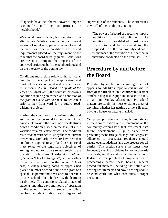of appeals have the inherent power to impose reasonable conditions to protect the neighborhood. <sup>76</sup>

We should clearly distinguish conditions from alternatives. While an alternative is a different version of relief – or, perhaps, a way to avoid the need for relief – conditions are instead requirements placed on the enjoyment of the relief that the board actually grants. Conditions are meant to mitigate the impacts of the approved project on both the neighborhood and on the integrity of the zoning law.

Conditions must relate solely to the particular land that is the subject of the application, and must not concern unrelated land or other issues. In *Gordon v. Zoning Board of Appeals of the Town of Clarkstown*<sup>77</sup>, the court struck down a condition requiring an owner, as a condition of the grant of a side-yard variance, to dedicate a strip of her front yard for a future roadwidening project.

Further, the conditions must relate to the land and may not be personal to the owner. In *St. Onge v. Donovan*<sup>78</sup> the Court of Appeals struck down a condition placed on the grant of a use variance for a real estate office. The condition restricted the variance to use by the then-current owner only. Similarly, the courts have held that conditions applied to any land use approval must relate to the legitimate objectives of zoning, and not to matters related solely to the operation of a business. The decision in *Matter of Summit School v. Neugent*<sup>79</sup>, is practically a primer on this point. In the *Summit School* case, a village zoning board of appeals had placed a number of conditions on the grant of a special use permit and a variance to operate a private school for children with learning disabilities. The conditions related to ages of students, months, days and hours of operation of the school, number of students enrolled, teacher-to-student ratio, and degree of supervision of the students. The court struck down all of the conditions, stating:

"The power of a board of appeals to impose conditions . . . is not unlimited. The conditions so established must relate directly to, and be incidental to, the proposed *use* of the real property and not to the manner of the operation of the particular enterprise conducted on the premises . . ."

### **Procedure by and before the Board**

Procedure by and before the zoning board of appeals sounds like a topic to curl up with in front of the fireplace, in a comfortable leather armchair, dog at side, pipe and tobacco at hand, on a rainy Sunday afternoon. Procedural matters are rarely the most exciting aspect of anything, whether it is getting a driver's license, buying a house, or getting married.

Yet proper procedure is of singular importance in the administration and enforcement of the community's zoning law - that investment in its future development. Quite aside from protecting the board against legal challenges, its adherence to procedural requisites should ensure evenhandedness and due process for all parties. This section surveys the issues most frequently causing problems for zoning boards of appeals, and those who must deal with them. It discusses the problem of proper parties in proceedings before these boards, general procedural matters (including the notice and hearing requirements and how a hearing should be conducted), and what constitutes a proper decision.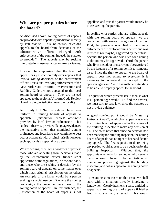#### **Who are proper parties before the board?**

As discussed above, zoning boards of appeals are provided with appellate jurisdiction directly by state statute. This, of course, envisions appeals to the board from decisions of the administrative official charged with enforcement of the zoning. Indeed, the statutes so provide. $80$  The appeals may be seeking interpretations, use variances or area variances.

It should be emphasized that the board of appeals has jurisdiction only over appeals that involve *zoning* decisions of the enforcement officer. Decisions involving enforcement of the New York State Uniform Fire Prevention and Building Code are not appealed to the local zoning board of appeals. They are instead appealed to the regional Uniform Code Review Board having jurisdiction over the locality.

As of July 1, 1994, the statutes have been uniform in limiting boards of appeals to appellate jurisdiction "unless otherwise provided by local law or ordinance." This "unless otherwise provided" language evidences the legislative intent that municipal zoning ordinances and local laws may continue to vest boards of appeals with original jurisdiction over such approvals as special use permits.

We are dealing, then, with two types of parties: those who are appealing from decisions made by the enforcement officer (under strict application of the regulations), on the one hand, and those who are seeking a decision by the zoning board of appeals on some matter over which it has original jurisdiction, on the other. An example of the latter would be a person seeking a special use permit where the zoning law assigns the power to issue these to the zoning board of appeals. In this instance, the jurisdiction of the board of appeals is not appellate, and thus the parties would merely be those seeking the permit.

In dealing with parties who are filing appeals with the zoning board of appeals, we are concerned with several categories of parties. First, the person who applied to the zoning enforcement officer for a zoning permit and was refused is (or may be) aggrieved by the refusal. Second, the person who was cited for a zoning violation may be aggrieved. Third, the person who lives next door or nearby may be aggrieved by the issuance of a zoning permit to someone else. Since the right to appeal to the board of appeals does not extend to everyone, it is necessary to understand the concept of the "person aggrieved" who has sufficient standing to be able to properly appeal to the board.

The question which presents itself, then, is what is a "person aggrieved?" To find the answer, we must turn to case law, since the statutes do not provide guidance.

A good starting point would be *Matter of*  $Hilbert v. Haas<sup>81</sup>$ , in which an appeal was made to a zoning board of appeals after the refusal of the building inspector to make any decision at all. The court noted that since no decision had been made by the building inspector, the zoning board of appeals had no right to hear and decide any appeal. The first requisite to there being any parties would appear to be a decision by the building inspector. Without that, the appropriate remedy for someone who seeks a decision would have to be an Article 78 mandamus proceeding against the building inspector, and not an appeal to the zoning board of appeals.

To examine some cases on this issue, we shall start with a situation directly involving a landowner. Clearly he/she is a party entitled to appeal to a zoning board of appeals if his/her land is substantially affected. This would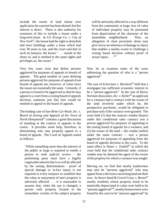include the owner of land whose own application for a permit has been denied; his/her interest is direct. There is also authority for extension of this to include a lessee under a long-term lease. In *S.S. Kresge Co. v. City of*  $New York^{82}$ , the lessee had the right to demolish and erect buildings under a lease which had over 30 years to run, and the court said that in such an instance, the lessee " . . . stands in the shoes of, and is entitled to the same rights and privileges as, the owner."

Very few cases exist that define persons aggrieved for purposes of appeals to boards of appeals. The great number of cases defining persons aggrieved for purposes of appeals *from* boards of appeals are, however, of value since the issues are essentially the same. Certainly, if a person is found to be aggrieved so that he may appeal to a court from a zoning board of appeals decision, someone just like him would be entitled to appeal to the board of appeals.

The leading case of *Sun-Brite Car Wash, Inc. v. Board of Zoning and Appeals of the Town of North Hempstead*<sup>83</sup> contains a good discussion of standing in the context of appeals to the courts. It provides some help, therefore, in determining who may properly appeal to a board of appeals. The Court of Appeals stated as follows:

"While something more than the interest of the public at large is required to entitle a person to seek judicial review - the petitioning party must have a legally cognizable interest that is or will be affected by the zoning determination - proof of special damage or in-fact injury is not required in every instance to establish that the value or enjoyment of one's property is adversely affected . . . it is reasonable to assume that, when the use is changed, a person with property located in the immediate vicinity of the subject property will be adversely affected in a way different from the community at large; loss of value of individual property may be presumed from depreciation of the character of the immediate neighborhood. Thus, an allegation of close proximity alone may give rise to an inference of damage or injury that enables a nearby owner to challenge a zoning board decision without proof of actual injury . . ."<sup>84</sup>

Now let us examine some of the cases addressing the question of who is a "person aggrieved."

The case of *Eckerman v. Murdock*<sup>85</sup> held that a mortgagee has sufficient economic interest to be a "person aggrieved." In the case of *Henry Norman Associates, Inc. v. Ketler*<sup>86</sup> an applicant for a variance had a contract with the owner of the land involved under which he, the prospective purchaser, would be obligated to purchase only if the variance were granted. The court held (1) that the contract vendee (buyer) under this conditional sales contract was a person aggrieved for purposes of appealing to the zoning board of appeals for a variance, and (2) the owner of the land -- the vendor (seller) under the same contract -- was a person aggrieved for purposes of appealing from the board of appeals decision to the court. To the same effect is *Slater v. Toohill<sup>87</sup>* in which the court held that the conditional sales contract vendee may be deemed the agent of the owner of the property for which a variance was sought.

Moving on, we find that nearby landowners may also be "persons aggrieved" who may appeal from a decision concerning land not their own. In *Steers Sand & Gravel Corp. v. Brunn<sup>88</sup>* nearby residents whose property stood to be materially depreciated in value were held to be "persons aggrieved"<sup>89</sup>, nearby homeowners were found by the court to be "persons aggrieved" by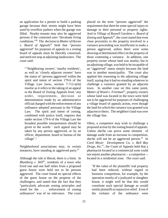an application for a permit to build a parking garage because their streets might have been used by overflow parkers when the garage was filled. Nearby tenants may also be aggrieved persons if the contested uses "devaluate living conditions."<sup>90</sup> The decision in *Matter of Horan v. Board of Appeals*<sup>91</sup> held that "persons" aggrieved" for purposes of appeals to a zoning board of appeals must be liberally construed, and need not stop at adjoining landowners. The court said:

"Neighboring owners', 'nearby residents', as well as 'closely adjacent owners' have the status of 'persons aggrieved' within the spirit and intent of section 179-b of the Village Law [now, section 7-712-a(4)] insofar as it refers to the taking of an appeal to the Board of Zoning Appeals from 'any order, requirement, decision or determination made by an administrative official charged with the enforcement of any ordinance adopted' pursuant to the Village Law. The spirit and intent of zoning, combined with justice itself, requires that under section 179-b of the Village Law the broadest possible interpretation should be given to the words ' such appeal may be taken by any person aggrieved, or by an officer, department, board or bureau of the village'."

Neighborhood associations may, in certain instances, have standing as aggrieved party. $92$ 

Although the rule is liberal, there is a limit. In *Blumberg v. Hill*<sup>93</sup>, residents of a town who lived one and one half miles from a proposed guest house were held not to be persons aggrieved. The court found no special effects of the guest house on the property of the challengers, and stated that the fact that they "particularly advocate zoning principles and stand for the . . . enforcement of zoning ordinances" was of no relevance. The court placed on the term "persons aggrieved" the requirement that there be some special injury or damage to their personal or property rights. And in *Village of Russell Gardens v. Board of* Zoning and Appeals<sup>94</sup>, the court stated that even close proximity to the property involved in a variance proceeding was insufficient to make a person aggrieved, unless there were some showing of detrimental effect on the property of those contesting a variance. In addition, one property owner whose land was nearby, but in an adjoining village, was held to be incapable of an "aggrieved" status simply because the land was in another municipality. The court also applied this reasoning to the adjoining village itself, saying that it had no standing whatever to challenge a variance granted by an adjacent town. In another case on this same point, *Matter of Wood v. Freeman*<sup>95</sup>, property owners whose land was located in the town were held not to be aggrieved for purposes of challenging a village board of appeals action, even though the land for which the variance was granted was adjacent to theirs. The neighbor's land was over the village line.

Often, a competitor may wish to challenge a proposed action by the zoning board of appeals. Unless she/he can prove some element of damage aside from an increase in competition, she/he will not be an aggrieved person.<sup>96</sup> In *Cord Meyer Development Co. v. Bell Bay Drugs*, *Inc.*<sup>97</sup>, the Court of Appeals held that a pharmacist located in a commercial zone could not enjoin another pharmacist -- a competitor - located in a residential zone. The court said:

"If the value of the plaintiffs' real property had been reduced, without regard to business competition, for example, by the operation nearby of a junkyard or slaughter house, it might well be that this would constitute such special damage as would entitle plaintiffs to injunctive relief. Even if the violator of the ordinance were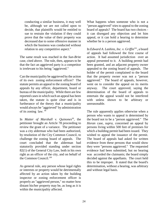conducting a similar business, it may well be, although we are not called upon to decide, that plaintiffs would be entitled to sue to restrain the violation if they could prove that the value of their property was decreased due to some offensive manner in which the business was conducted without relation to any competitive aspect."

The same result was reached in the *Sun-Brite* case, cited above. The rule, then, appears to be that the fact an aggrieved party is a competitor is irrelevant to his being "aggrieved."

Can the municipality be aggrieved by the action of its own zoning enforcement officer? The statute permits an appeal to the zoning board of appeals by any officer, department, board or bureau of the municipality. While there are few reported cases in which such an appeal has been taken, the statute is quite clear and is in furtherance of the theory that a municipality would always be "aggrieved" by administration of its zoning law. <sup>98</sup>

In *Matter of Marshall v. Quinones<sup>99</sup>*, the petitioner brought an Article 78 proceeding to review the grant of a variance. The petitioner was a city alderman who had been authorized, by resolution of the City Common Council, to challenge the zoning board of appeals. The court concluded that the alderman had statutorily provided standing under section 82(1) of the General City Law, both in his own right as an officer of the city, and on behalf of the Common Council.<sup>100</sup>

As general rule, any person whose legal rights or interests or property would be detrimentally affected by an action taken by the building inspector or zoning enforcement officer is properly an "aggrieved person," no matter how distant his/her property may be, as long as it is within the municipality affected.

What happens when someone who is not a "person aggrieved" tries to appeal to the zoning board of appeals? The board has two choices it can disregard any objection and let him appeal, or it can hold a hearing to determine whether he is a person aggrieved.

In *Edward A. Lashins, Inc. v. Griffin*<sup>101</sup>, a board of appeals had followed the first course of action. It had assumed jurisdiction over an appeal presented to it. A building permit had been granted, and an adjacent property owner appealed to the zoning board of appeals. The holder of the permit complained to the board that the property owner was not a "person aggrieved." The board of appeals, however, went on to consider the appeal on its merits anyway. The court approved, saying the determination of the board of appeals to entertain the appeal would not be interfered with unless shown to be arbitrary or unreasonable.

The rule apparently applies otherwise when a person who wants to appeal is determined by the board not to be a "person aggrieved." The *Horan* case, *supra,* concerned an appeal by persons living within 500 feet of premises for which a building permit had been issued. They wished to appeal the issuance of the permit. The board of appeals had asked for written evidence from these persons that would show they were "persons aggrieved." The requested evidence had been submitted, but no hearing was accorded the claimants; the board simply decided against the appellants. The court held this to be improper. It stated that the board's determination, without a hearing, was arbitrary and without legal basis.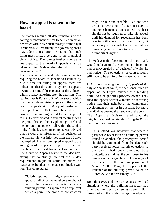#### **How an appeal is taken to the board**

The statutes require all determinations of the zoning enforcement officer to be filed in his or her office within five business days of the day it is rendered. Alternatively, the governing board may adopt a resolution providing that such filing must instead be done in the municipal clerk's office. The statutes further require that any appeal to the board of appeals must be taken within 60 days after the filing of the determination.<sup>102</sup>

In cases which arose under the former statutes requiring the board of appeals to establish by rule a time for taking an appeal, there are indications that the courts may permit appeals beyond that time if the person appealing objects within a reasonable time after the decision. The leading case is *Pansa v. Damiano*, *supra*, which involved a rule requiring appeals to the zoning board of appeals within 30 days of the decision. The appellant in that case objected to the issuance of a building permit for land adjacent to his. He participated in several meetings with the permit holder, the city planning board and the corporation counsel - all within the 30 day limit. At the last such meeting, he was advised that he would be informed of the decision on the matter. He was informed after the 30 days had expired. He then attempted to appeal to the zoning board of appeals to object to the permit. The board dismissed his appeal as untimely. The Court of Appeals reversed the decision, stating that to strictly interpret the 30-day requirement might in some situations be reasonable, but that on the facts outlined, it was not. The court stated:

"Strictly applied, it might prevent any appeal at all since the neighbors might not learn till long afterward of the issuance of a building permit. As applied to an applicant denied a permit the proposed construction might be fair and sensible. But one who demands revocation of a permit issued to another is in no position to appeal or at least should not be required to take his appeal until his demand for revocation has been rejected with some formality and finality. It is the duty of the courts to construe statutes reasonably and so as not to deprive citizens of important rights."

The 30 days in this fact situation, the court said, would not begin until the petitioner's objections had been overruled in a "decision" of which he had notice. The objections, of course, would still have to be put forth in a reasonable time.

In *Farina v. Zoning Board of Appeals of the*  $City of New Rochelle<sup>103</sup>$ , the petitioners filed an appeal of the City's issuance of a building permit to a neighboring property owner. They filed the appeal within a month of receiving notice that their neighbors had commenced development on the lot in question, but more than 60 days beyond the issuance of the permit. The Appellate Division ruled that the neighbor's appeal was timely. Citing the *Pansa* decision, the court stated:

"It is settled law, however, that where a party seeks revocation of a building permit issued to another, the prescriptive period should be computed from the date such party received notice that his objections to the permit had been overruled [cite omitted]. We find that the petitioners in this case are not chargeable with knowledge of the issuance of the building permit until March 2000. Thus, the appeal of the issuance of the building permit, taken on March 27, 2000, was timely . . ."

Both the *Pansa* and the *Farina* cases involved situations where the building inspector had given a written decision issuing a permit. Both cases spoke of the rights of an aggrieved person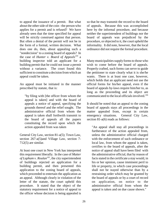to appeal the issuance of a permit. But what about the other side of the coin - the person who applies for a permit and is refused? We have already seen that the time specified for appeal will be strictly construed against that person. But often a denial of the permit will not be in the form of a formal, written decision. What does one do, then, about appealing such a "nondecision" to a zoning board of appeals? In the case of *Hunter v. Board of Appeals<sup>104</sup>* a building inspector told an applicant for a building permit that he could not issue a permit without a variance. The court found this sufficient to constitute a decision from which an appeal could be taken.

An appeal must be initiated in the manner prescribed by statute, that is:

"by filing with [the officer from whom the appeal is taken] and with the board of appeals a notice of appeal, specifying the grounds thereof and the relief sought. The administrative official from whom the appeal is taken shall forthwith transmit to the board of appeals all the papers constituting the record upon which the action appealed from was taken

General City Law, section 81-a(5); Town Law, section 267-a(5)and Village Law, section 7- 712(5) are similar.

At least one court in New York has interpreted this requirement liberally. In the case of *Matter of Lapham v. Roulan<sup>105</sup>*, the city superintendent of buildings rejected an application for a building permit, and then presented this application to the zoning board of appeals, which proceeded to entertain the application as an appeal. Although clearly in violation of the letter of the statute, the court upheld this procedure. It stated that the object of the statutory requirement for a notice of appeal to the officer whose decision is being appealed is so that he may transmit the record to the board of appeals. Because this was accomplished here by the informal procedure, and because neither the superintendent of buildings nor the board of appeals was prejudiced by the procedure, or objected to it, the court upheld the informality. It did note, however, that the local ordinance did not require the formal procedure.

Many municipalities supply forms to those who wish to come before the board of appeals. Properly crafted, such forms can serve to guide the petitioner to state clearly what it is she/he wants. There is at least one case, however, which holds that an applicant need not use the official forms for his/her appeal, even if the board of appeals by-laws require him/her to, as long as the proceeding and its object are communicated to the local officials involved.<sup>106</sup>

It should be noted that an appeal to the zoning board of appeals stays all proceedings in the matter appealed from, except in certain emergency situations. General City Law, section 81-a(6) reads as follows:

"An appeal shall stay all proceedings in furtherance of the action appealed from, unless the administrative official charged with the enforcement of such ordinance or local law, from whom the appeal is taken, certifies to the board of appeals, after the notice of appeal shall have been filed with the administrative official, that by reason of facts stated in the certificate a stay would, in his or her opinion, cause imminent peril to life or property, in which case proceedings shall not be stayed otherwise than by a restraining order which may be granted by the board of appeals or by a court of record on application, on notice to the administrative official from whom the appeal is taken and on due cause shown."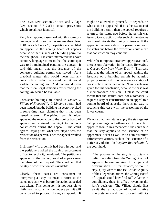The Town Law, section 267-a(6) and Village Law, section 7-712-a(6) contain provisions which are almost identical.

Very few reported cases deal with this statutory language, and those that do are less than clear. In *Blum v. O'Connor<sup>107</sup>*, the petitioners had filed an appeal to the zoning board of appeals because of the issuance of a building permit to their neighbor. The court interpreted the above statutory language to mean that the status quo was to be maintained pending the appeal. It said this meant that the issuance of the contested building permit was stayed. As a practical matter, this would mean that any construction under the stayed permit would violate the zoning law. And that would mean that the usual legal remedies for enforcing the zoning law would be available.

Consistent holdings are found in *Linder v. Village of Freeport*<sup>108</sup>. In *Linder*, a permit had been issued, but the building inspector revoked it some time later, claiming that it had been issued in error. The plaintiff permit holder appealed the revocation to the zoning board of appeals and claimed the right to continue construction during the appeal. The court agreed, saying that what was stayed was the revocation of a permit, since the appeal resulted from the revocation.

In *Brunschwig*, a permit had been issued, and the petitioners asked the zoning enforcement officer to revoke it; he refused. The petitioners appealed to the zoning board of appeals over the refusal of their request. The court held that no stay of construction was available.

Clearly, these cases are consistent in interpreting a "stay" to mean a return to the status quo as it was before the action appealed was taken. This being so, it is not possible to flatly say that construction under a permit will be allowed to proceed during an appeal. It might be allowed to proceed. It depends on what action is appealed. If it is the issuance of the building permit, then the appeal requires a return to the status quo before the permit was issued. Construction under such circumstances could well violate the zoning ordinance. If the appeal is over revocation of a permit, a return to the status quo before the revocation could mean that construction may continue.

While the interpretation above appears rational, there is one aberration in the cases, *Barnathan v. Garden City Park Water Dist.*<sup>109</sup> That case held that the taking of an appeal against the issuance of a building permit by abutting property owners did not operate as a stay of construction under the statute. No rationale was given for this conclusion, because the case was a memorandum decision. Unless the court meant that the statute does not automatically require a stay of construction in an appeal to a zoning board of appeals, there is no way to reconcile this case with the reasoning of the lower courts.

We note that the statutes apply the stay against "all proceedings in furtherance of the action appealed from." In a recent case, the court held that the stay applies to the issuance of an appearance ticket as well as to administrative enforcement actions such as the issuance of a notice of violation. In *People v. Bell Atlantic*<sup>110</sup>, the court held:

"The purpose of the stay is to obtain a definitive ruling from the Zoning Board of Appeals before moving to a judicial determination. If, for instance, without a stay, a jury were to find Bell Atlantic guilty of the alleged violations, the Zoning Board of Appeals could later find Bell Atlantic in compliance, thus, in effect, reversing the jury's decision. The Village should first await the exhaustion of administrative interpretations and then proceed with its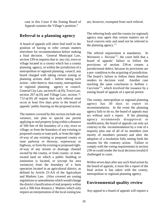case in this Court if the Zoning Board of Appeals sustains the Village's position."

#### **Referral to a planning agency**

A board of appeals will often find itself in the position of having to refer certain matters elsewhere for recommendation before making a final decision. General Municipal Law, section 239-m requires that in any city, town or village located in a county which has a county planning agency, or within the jurisdiction of a metropolitan or regional planning council, any board charged with taking certain zoning or planning actions shall – before taking such action – refer them to that county, metropolitan or regional planning agency or council. General City Law, section 81-a(10), Town Law, section 267-a(10) and Village Law, section 7- 712-a(10) all require that such referral must occur at least five days prior to the board of appeals' public hearing on the proposed action.

The matters covered by this section include any variance, site plan or special use permit applying to real property lying within a distance of 500 feet of the boundary of a city, town or village, or from the boundary of any existing or proposed county or state park, or from the rightof-way of any existing or proposed county or state parkway or thruway, expressway or highway, or from the existing or proposed rightof-way of any stream or drainage channel owned by the county, or from county- or stateowned land on which a public building or institution is located, or (except for area variances) from the boundary of a farm operation located in an agricultural district, as defined by Article 25-AA of the Agriculture and Markets Law. (Also covered are zoning regulations or amendments which would change the district classification of real property within such a 500-foot distance.) Matters which only require an interpretation of the local zoning law

are, however, exempted from such referral.

The referring body and the county (or regional) agency may agree that certain matters are of local concern only and need not be referred to the planning agency. $111$ 

The referral requirement is mandatory. In *Weinstein v. Nicosia*<sup> $112$ </sup>, the court held that a board of appeals' failure to follow the provisions of section 239-m creates a jurisdictional defect, because its provisions are a pre- condition to the acquiring of jurisdiction. The board's failure to follow them therefore renders its decision void. Another case reaching the same conclusion is *Asthma v. Curcione*<sup>113</sup>, which involved the issuance by a zoning board of appeals of a special permit.

The county, metropolitan or regional planning agency has 30 days to report its recommendation. In the event the planning agency fails to do so, the board of appeals may act without such a report. If the planning agency recommends disapproval or modification, the board of appeals can only act contrary to the recommendation by a vote of a majority plus one of all of its members (not merely of members present) and after the adoption of a resolution fully setting forth the reasons for the contrary action. Failure to comply with the voting requirements in section 239-m could render the local decision invalid if challenged in court.

Within seven days after any such final action by the board of appeals, it must file a report of the final action it has taken with the county, metropolitan or regional planning agency.

#### **Environmental quality review**

Any appeal to a board of appeals will require a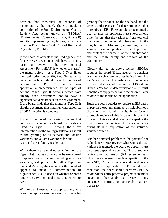decision that constitutes an exercise of discretion by the board, thereby invoking application of the State Environmental Quality Review Act, better known as "SEQRA" (Environmental Conservation Law, Article 8) and its implementing regulations, which are found in Title 6, New York Code of Rules and Regulations, Part 617.

If the board of appeals is the lead agency, the first SEQRA decision it will have to make, based on review of the Environmental Assessment Form (EAF) is whether to classify the matter before it as a Type I, Type II, or Unlisted action under SEQRA. To guide its decision the board should refer to the lists of actions found in Part 617. Some decisions appear on a predetermined list of types of actions, called Type II Actions, which have already been determined not to have a significant adverse impact on the environment. If the board finds that the matter is Type II, it should document that finding, whereupon its SEQRA function is complete.

It should be noted that certain matters that commonly come before a board of appeals are listed as Type II. Among these are interpretations of the zoning regulations, as well as the granting of all setback and lot-line variances, and all area variances for one-, two-, and three-family residences.

While there are several other actions on the Type II list that may often come before a board of appeals, many matters, including most use variances, will probably be either Type I or Unlisted Actions, thus requiring the board of appeals to make a "determination of Significance" (i.e., a decision whether or not to require an environmental impact statement, or EIS).

With respect to use variance applications, there is an overlap between the statutory criteria for

granting the variance, on the one hand, and the criteria under Part 617 for determining whether to require an EIS. For example, to be granted a use variance the applicant must show, among other factors, that the variance, if granted, will not alter the essential character of the neighborhood. Moreover, in granting the use variance the municipality is directed to preserve and protect the character of the neighborhood and the health, safety and welfare of the community.

Closely akin to the above factors, SEQRA requires the board (if lead agency) to consider community character and aesthetics in making its Determination of Significance. Even where the board decides not to require an EIS – it has issued a "negative determination" – it must nonetheless apply these same factors in its later review of the merits of the application.

But if the board decides to require an EIS based in part on the potential impact on neighborhood character, then it will inevitably perform a thorough review of this issue within the EIS process. This should shorten and expedite the board's eventual review of this same factor during its later application of the statutory variance criteria.

Another practical problem is the potential for redundant SEQRA reviews where, once the use variance is granted, the board of appeals must also issue a special use permit. This subsequent review often requires SEQRA review in itself. Thus, there may result needless repetition of the same SEQRA issues that were addressed during the variance application. To avoid such repetition, the board should perform SEQRA review of the entire potential project at an initial stage, and then apply that review to any subsequent permits or approvals that are necessary.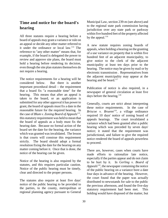#### **Time and notice for the board's hearing**

All three statutes require a hearing before a board of appeals may grant a variance or rule on an appeal or decide any other matter referred to it under the ordinance or local  $law$ <sup>114</sup>. The reference to "any other matter" means that, for example, if the board is delegated the power to review and approve site plans, the board must hold a hearing before rendering its decision, even though the site plan statutes themselves do not require a hearing.

The notice requirements for a hearing will be considered below. But there is another important procedural detail – the requirement that a board fix "a reasonable time" for the hearing. This means that after an appeal is taken to the board, or an application is submitted for any other approval it has power to grant, the board of appeals must fix a date in the reasonable future for the required hearing. In the case of *Blum v. Zoning Board of Appeals<sup>115</sup>,* this statutory requirement was held to mean that the board of appeals as a body must fix the hearing date. Because no formal action of the board set the date for the hearing, the variance which was granted was invalidated. The lesson is that courts will construe this requirement strictly. The board should adopt a formal resolution fixing the date for the hearing on any matter coming before it. Once that is done, the notice of the hearing can be given.

Notice of the hearing is also required by the statutes, and this requires particular caution. Notice of the public hearing must be timely, clear and directed to the proper persons.

The statutes also require at least five days' notice of the public hearing to be provided to the parties, to the county, metropolitan or regional planning agency pursuant to General Municipal Law, section 239-m (see above) and to the regional state park commission having jurisdiction over any state park or parkway within five hundred feet of the property affected by the appeal. $116$ 

A new statute requires zoning boards of appeals, when holding a hearing on the granting of a use variance on property that is within five hundred feet of an adjacent municipality, to give notice to the clerk of the adjacent municipality at least ten days prior to the hearing. The notice may be given by mail or by electronic transmission . Representatives from the adjacent municipality may appear at the hearing and be heard.<sup>117</sup>

Publication of notice is also required, in a newspaper of general circulation at least five days before the hearing. $118$ 

Generally, courts are strict about interpreting these notice requirements. In the case of *Briscoe v. Bruenn*<sup>119</sup>, a village ordinance required 10 days' notice of zoning board of appeals hearings. The court invalidated a variance which had been granted after a public hearing which was preceded by seven days' notice; it stated that the requirement was jurisdictional, and failure to give the required notice rendered the board of appeals powerless to proceed.

There are, however, cases when courts have made efforts to rationalize late notice, especially if the parties appear and do not claim to be hurt by it. In *Gerling v. Board of Appeals<sup>120</sup>*, the newspaper containing the notice of the public hearing on a variance bore a date four days in advance of the hearing. However, the court found that the paper was actually distributed to newsstands for sale to the public the previous afternoon, and found the five-day statutory requirement had been met. This holding would have disposed of the matter, but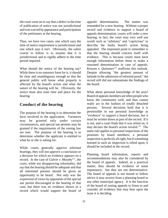the court went on to say that a defect in the time of publication of notice was not jurisdictional and was waived by appearance and participation of the petitioners at the hearing.

Thus, we have two cases, one which says the time of notice requirement is jurisdictional and one which says it isn't. Obviously, the safest course to follow is to assume that it is jurisdictional and to rigidly adhere to the time period required.

What should the notice of the hearing say? While there is no statutory form for it, it should be clear and unambiguous enough so that the general public will know what property is affected by the board's action and what the nature of the hearing will be. Obviously, the notice must also state time and place for the hearing.

#### **Conduct of the hearing**

The purpose of the hearing is to determine the facts involved in the application. Variances may be granted only under certain circumstances, and special use permits may be granted if the requirements of the zoning law are met. The purpose of the hearing is to determine whether the applicant is entitled to what he or she is asking for.

While courts generally approve informal hearings, they will not approve a conclusion or a decision for which no evidence appears on a record. In the case of *Galvin v. Murphy*<sup>121</sup>, the court, while not disapproving informality, did say that the hearing should be adequate and that all interested persons should be given an opportunity to be heard. Not only was the expression of views by opponents of the special use permit discouraged in the hearing of that case, but there was no evidence shown in a record which would support the board of appeals' determination. The matter was remanded for a new hearing. Without a proper record and evidence to support a board of appeals determination, courts will order a new hearing; in fact, the court may very well use words such as "arbitrary" and "capricious" to describe the faulty board's action being appealed. The important point to remember is that the hearing should concern itself with evidence. This is because courts must have enough information before them to make a reasoned determination in case of appeals. *Kenyon v. Quinones*<sup> $122$ </sup> reaffirms this outlook. Despite allowing "the greatest amount of latitude in the admission of informal proof," the record still did not substantiate the findings of the board.

What about personal knowledge of the area? Board of appeals members are often people who know the community well, and thus cannot really act in the fashion of totally detached persons. Several decisions hold that it is permissible to use personal knowledge as "evidence" to support a board decision, but it must be written down as part of the record. If it is not, and a court finds that it was relied on, it may declare the board's action invalid. $123$  The same rule applies to personal inspections of the premises by board members; a personal inspection is perfectly all right, but if something learned in such an inspection is relied upon, it should be included in the record.

Planning board information, reports and recommendations may also be considered by the board of appeals. Indeed, as a practical matter, they should be evidence of some importance, but they are not determinative. The board of appeals is not bound to follow advice it may receive from a planning board or any other municipal agency. It is the function of the board of zoning appeals to listen to and consider all evidence that may bear upon the issue it is deciding.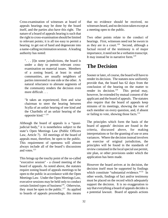Cross-examination of witnesses at board of appeals hearings may be done by the board itself, and the parties also have this right. The nature of a board of appeals hearing is such that the right to cross-examination should be limited to relevant points; it is all too easy to permit a hearing to get out of hand and degenerate into a name-calling recrimination session. A leading authority has noted:

". . . [I]n some jurisdictions, the board is under a duty to permit relevant crossexamination on material issues. Members of a zoning board, at least in small communities, are usually neighbors of parties interested in one side or the other. A natural reluctance to alienate segments of the community renders the decision even more difficult . . .

"It takes an experienced, firm and wise chairman to steer the hearing between Scylla of an unfair hearing of one kind and the Charibdis of an unfair hearing of the opposite kind." <sup>124</sup>

Although the board of appeals is a "quasijudicial body," it is nonetheless subject to the state's Open Meetings Law (Public Officers Law, Article 7). All meetings of the board of appeals must, therefore, be open to the public. This requirement of openness will almost always include all of the board's discussions and votes.<sup>125</sup>

This brings up the touchy point of the so-called "executive session" - a closed meeting of the board of appeals. As noted above, the statutes require zoning board of appeals meetings to be open to the public in accordance with the Open Meetings Law. Under the Open Meetings Law, executive sessions may be held only to conduct certain limited types of business $^{126}$ . Otherwise, they must be open to the public.<sup>127</sup> As applied to boards of appeals proceedings, this means that no evidence should be received, no witnesses heard, and no decision taken except at a meeting open to the public.

Two other points relate to the conduct of hearings. First, witnesses need not be sworn in as they are in a court.<sup>128</sup> Second, although a factual record of the testimony is of major importance, it need not be a verbatim transcript. It may instead be in narrative form.<sup>129</sup>

### **The Decision**

Sooner or later, of course, the board will have to render its decision. The statutes now uniformly provide that, the board has 62 days from the conclusion of the hearing on the matter to render its decision. $130$  This period may, however, be extended by mutual consent of the applicant and the board of appeals. The statutes also require that the board of appeals keep minutes of its meetings, showing the vote of each member on every question, and, if absent or failing to vote, showing those facts.<sup>131</sup>

The principles which form the basis of the board of appeals' decision are found in the criteria, discussed above, for making interpretations or for the granting of use or area variances. Where the decision instead involves an exercise of original jurisdiction, the principles will be found in the standards of review contained in the local special use permit, site plan, or other provisions under which the application has been made.

However the board arrives at its decision, the decision itself must be supported by findings which constitute "substantial evidence."<sup>132</sup> In other words, findings of fact and/or testimony must be placed on the record which adequately support the decision. It is no exaggeration to say that everything a board of appeals decides is a potential lawsuit. Board of appeals actions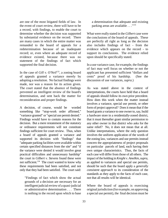are one of the most litigated fields of law. In the event of court review, there will have to be a record, with findings, to enable the court to determine whether the decision was supported by substantial evidence on the record. There are many cases in which the entire matter was remanded to the board of appeals for a redetermination because of an inadequate record; or, even where an adequate record of evidence existed, because there was no statement of the findings of fact which supported the final decision.

In the case of *Gill v. O'Neil*<sup>133</sup>, a zoning board of appeals granted a variance merely by adopting a resolution. No factual findings were made, nor was a reason for its action given. The court stated that the absence of findings prevented an intelligent review of the board's determination, and sent back the matter for reconsideration and proper findings.

A decision, of course, would be worded something like "stop-work order affirmed," "variance granted" or "special use permit denied." Findings would have to contain reasons for the decision. But a mere restatement of the statutory or ordinance requirements will not constitute findings sufficient for court review. Thus, when a board of appeals granted a variance and supported its decision with "findings" that "adequate parking facilities were available within certain specified distances from the site" and "if the variance were denied it would involve great practical difficulties and unnecessary hardship" the court in *Gilbert v. Stevens* found these were not sufficient. $134$  The court wanted to know why these requirements had been satisfied, and not only that they had been satisfied. The court said:

"Findings of fact which show the actual grounds of a decision are necessary for an intelligent judicial review of a quasi-judicial or administrative determination . . . There is nothing in the record upon which to base

a determination that adequate and existing parking areas are available . . . "<sup>135</sup>

What were really stated in the *Gilbert* case were the conclusions of the board of appeals. These are perfectly all right as long as the decision also includes findings of fact - from the evidence which appears on the record - to support its conclusions. The evidence relied upon should be specifically stated.

In a use variance case, for example, the findings of fact may well focus on whether or not the applicant has presented sufficient "dollars and cents" proof of his hardship. (See the discussion of use variances, *supra.*)

As was stated above in the context of interpretations, the courts have held that a board of appeals should follow its own prior precedent. How does this work when the matter instead involves a variance, special use permit, or other form of project approval? Does it mean that if the board grants a variance to one owner to, say, build a hardware store in a residentially-zoned district, that it must thereafter grant similar permission to any other owner in that district who asks for the same relief? No, it does not mean that at all. Unlike interpretations, where the only question involves the uniform application of the words of the zoning law, variances and use permits instead concern the appropriateness of project proposals on particular parcels of land, each having their own unique characteristics. Thus, the facts of each case will differ from those of all others. The impact of the holding in *Knight v. Amelkin*, *supra*, as applied to variances and special use permits, should be such that the board apply a *generally consistent approach* to its consideration of the standards as they apply to the facts of each case, not that all results will be identical.

Where the board of appeals is exercising original jurisdiction (for example, on approving a special use permit), the final decision must be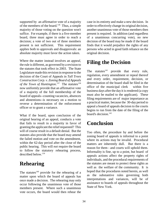supported by an affirmative vote of a majority of the members of the board.<sup>136</sup> Thus, a simple majority of those voting on the question won't suffice. For example, if there is a five-member board, three must agree in order to reach a decision; a vote of two out of three members present is not sufficient. This requirement applies both to approvals and disapprovals: an absolute majority must favor the action taken.

Where the matter instead involves an *appeal*, the rule is different, as governed by a revision to the statutes that took effect in 2003. The State Legislature made this revision in response to the decision of the Court of Appeals in *Tall Trees Construction Corp. v. Zoning Board of Appeals of the Town of Huntington*.<sup>137</sup> The statutes<sup>138</sup> now uniformly provide that an affirmative vote of a majority of the full membership of the board of appeals--counting vacancies, absences and abstentions--is necessary on a motion to reverse a determination of the enforcement officer or to grant a variance.

What if the board, upon conclusion of the original hearing of an appeal, conducts a vote that fails to result in a majority in favor of granting the applicant the relief requested? This will of course result in a default denial. But the statutes also provide that the board may amend the failed motion and vote on the amendment, within the 62-day period after the close of the public hearing. This will *not* require the board to follow the statutory rehearing process, described below.<sup>139</sup>

### **Rehearing**

The statutes<sup>140</sup> provide for the rehearing of a matter upon which the board of appeals has once made a decision. The rehearing may only occur following the unanimous vote of those members present. Where such a unanimous vote occurs, the board would then rehear the case in its entirety and make a new decision. In order to effectively change its original decision, another unanimous vote of those members then present is required. In addition (and regardless of a unanimous concurring vote), no new decision of the board may be made if the board finds that it would prejudice the rights of any persons who acted in good faith reliance on the original decision.

### **Filing the Decision**

The statutes $141$  provide that every rule, regulation, every amendment or repeal thereof and every order, requirement, decision, or determination of the board shall be filed in the office of the municipal clerk within five business days after the day it is rendered (a copy must also be mailed to the applicant). These filing requirements are of major importance as a practical matter, because the 30-day period to appeal a board of appeals decision to the courts begins to run from the date of the filing of the board's decision.<sup>142</sup>

### **Conclusion**

Too often, the procedure by and before the zoning board of appeals is informal to a point where its actions may be invalid. Procedural matters are inherently dull. But there is a reason for them - and courts will uphold them. Informality is fine, up to a point, but board of appeals actions affect the property rights of individuals, and the procedural requirements of the statutes are meant to protect these rights as well as the welfare of the community. It is hoped that the procedures noted herein, as well as the substantive rules governing both interpretations and variances, will be of assistance to boards of appeals throughout the State of New York.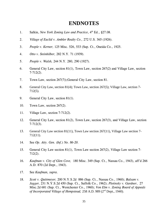### **ENDNOTES**

- 1. Salkin, *New York Zoning Law and Practice*,  $4^{\text{th}}$  Ed., §27.08.
- 2. *Village of Euclid v. Ambler Realty Co.,* 272 U.S. 365 (1926).
- 3. *People v. Kerner,* 125 Misc. 526, 533 (Sup. Ct., Oneida Co., 1925.
- 4. *Otto v. Steinhilber,* 282 N.Y. 71 (1939).
- 5. *People v. Walsh,* 244 N.Y. 280, 290 (1927).
- 6. General City Law, section 81(1), Town Law, section 267(2) and Village Law, section 7-712(2).
- 7. Town Law, section 267(7));General City Law, section 81.
- 8. General City Law, section 81(4); Town Law, section 267(5); Village Law, section 7- 712(5).
- 9. General City Law, section 81(1).
- 10. Town Law, section 267(2).
- 11. Village Law, section 7-712(2).
- 12. General City Law, section 81(2), Town Law, section 267(3), and Village Law, section 7-712(3).
- 13. General City Law section 81(11), Town Law section 267(11), Village Law section 7- 712(11).
- 14. See *Op. Atty. Gen. (Inf.) No. 86-20*.
- 15. General City Law section 81(1), Town Law section 267(2), Village Law section 7- 712(2).
- 16. *Kaufman v. City of Glen Cove,* 180 Misc. 349 (Sup. Ct., Nassau Co., 1943), aff'd 266 A.D. 870 (2d Dept., 1943).
- 17. See *Kaufman, supra*.
- 18. *Scott v. Quittmeyer,* 200 N.Y.S.2d 886 (Sup. Ct., Nassau Co., 1960); *Balsam v. Jagger,* 231 N.Y.S.2d 450 (Sup. Ct., Suffolk Co., 1962); *Plotinsky v. Gardner*, 27 Misc.2d 681 (Sup. Ct., Westchester Co., 1960); *Von Elm v. Zoning Board of Appeals* of Incorporated Village of Hempstead, 258 A.D. 989 (2<sup>nd</sup> Dept., 1940).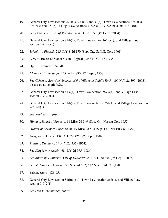- 19. General City Law sections 27-a(3), 27-b(3) and 33(6); Town Law sections 274-a(3), 274-b(3) and 277(6); Village Law sections 7-725-a(3), 7-725-b(3) and 7-730(6).
- 20. See *Cerame v. Town of Perinton*, 6 A.D. 3d 1091 (4<sup>th</sup> Dept., 2004).
- 21. General City Law section 81-b(2), Town Law section 267-b(1), and Village Law section 7-712-b(1).
- 22. *Schmitt v. Plonski,* 215 N.Y.S.2d 170 (Sup. Ct., Suffolk Co., 1961).
- 23. Levy v. Board of Standards and Appeals, 267 N.Y. 347 (1935).
- 24. Op. St. Comptr. 65-770.
- 25. *Cherry v. Brumbaugh, 255 A.D. 880 (2<sup>nd</sup> Dept., 1938).*
- 26. See *Cohen v. Board of Appeals of the Village of Saddle Rock*, 100 N.Y.2d 395 (2003), discussed at length *infra*.
- 27. General City Law section 81-a(4), Town Law section 267-a(4), and Village Law section 7-712-a(4).
- 28. General City Law section 81-b(2), Town Law section 267-b(1), and Village Law, section  $7-712-b(1)$ .
- 29. See *Kaufman*, *supra*.
- 30. *Hinna v. Board of Appeals*, 11 Misc.2d 349 (Sup. Ct., Nassau Co., 1957).
- 31. *Matter of Levine v. Buxenbaum*, 19 Misc.2d 504 (Sup. Ct., Nassau Co., 1959).
- 32. Anagnos v. Lesica, 134 A.D.2d  $425$  ( $2<sup>nd</sup>$  Dept., 1987).
- 33. *Pansa v. Damiano*, 14 N.Y.2d 356 (1964).
- 34. See *Knight v. Amelkin*, 68 N.Y.2d 975 (1986).
- 35. See *Androme Leather v. City of Gloversville*, 1 A.D.3d 654 (3<sup>rd</sup> Dept., 2003).
- 36. See *St. Onge v. Donovan*, 71 N.Y.2d 507, 527 N.Y.S.2d 721 (1988).
- 37. Salkin, *supra*, §29.05.
- 38. General City Law section 81(b)(1)(a), Town Law section 267(1), and Village Law section 7-712(1).
- 39. See *Otto v. Steinhilber*, *supra*.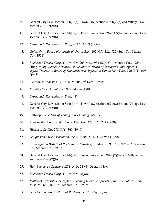- 40. General City Law, section 81-b(3)(b), Town Law, section 267-b(2)(b) and Village Law, section 7-712-b(2)(b).
- 41. General City Law section 81-b(3)(b), Town Law section 267-b(2)(b), and Village Law section 7-712-b(2)(b).
- 42. *Crossroads Recreation v. Broz*, 4 N.Y.2d 39 (1958).
- 43. *Goldstein v. Board of Appeals of Oyster Bay*, 102 N.Y.S.2d 922 (Sup. Ct., Nassau Co., 1951).
- 44. *Rochester Transit Corp. v. Crowley*, 205 Misc. 933 (Sup. Ct., Monroe Co., 1954), citing *Young Women's Hebrew Association v. Board of Standards and Appeals* , *supra*; *Thomas v. Board of Standards and Appeals of City of New York*, 290 N.Y. 109 (1943).
- 45. *Everhart v. Johnston*, 30 A.D.2d 608 (3<sup>rd</sup> Dept., 1968).
- 46. *Fayetteville v. Jarrold*, 53 N.Y.2d 254 (1981).
- 47. *Crossroads Recreation v. Broz*, 44).
- 48. General City Law section 81-b(3)(b), Town Law section 267-b(2)(b), and Village Law section 7-712-b(2)(b).
- 49. Rathkopf, *The Law of Zoning and Planning, §58:11*.
- 50. *Arverne Bay Construction Co. v. Thatcher*, 278 N.Y. 222 (1938).
- 51. *Hickox v. Griffin*, 298 N.Y. 365 (1949).
- 52. *Douglaston Civic Association, Inc. v. Klein*, 51 N.Y.2d 963 (1980).
- 53. *Congregation Beth El of Rochester v. Crowley*, 30 Misc.2d 90, 217 N.Y.S.2d 937 (Sup. Ct., Monroe Co., 1961).
- 54. General City Law section 81-b(3)(b), Town Law section 267-b(2)(b), and Village Law section 7-712-b(2)(b).
- 55. *Holy Sepulchre Cemetery*, 271 A.D. 33 (4<sup>th</sup> Dept., 1946).
- 56. *Rochester Transit Corp. v. Crowley*, *supra*.
- 57. *Matter of Style Rite Homes, Inc. v. Zoning Board of Appeals of the Town of Chili*, 54 Misc.2d 866 (Sup. Ct., Monroe Co., 1967).
- 58. See *Congregation Beth El of Rochester v. Crowley*, *supra*.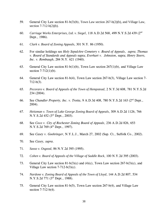- 59. General City Law section 81-b(3)(b), Town Law section 267-b(2)(b), and Village Law, section 7-712-b(2)(b).
- 60. *Carriage Works Enterprises, Ltd. v. Siegel*, 118 A.D.2d 568, 499 N.Y.S.2d 439 (2nd Dept., 1986).
- 61. *Clark v. Board of Zoning Appeals*, 301 N.Y. 86 (1950).
- 62. For similar holdings see *Holy Sepulchre Cemetery v. Board of Appeals*, *supra*; *Thomas v. Board of Standards and Appeals* supra; *Everhart v. Johnston*, supra; *Henry Steers, Inc. v. Rembaugh*, 284 N.Y. 621 (1940).
- 63. General City Law section 81-b(1)(b), Town Law section 267(1)(b), and Village Law section 7-712(1)(b).
- 64. General City Law section 81-b(4), Town Law section 267-b(3), Village Law section 7- 712-b(3).
- 65. *Pecoraro v. Board of Appeals of the Town of Hempstead*, 2 N.Y.3d 608, 781 N.Y.S.2d 234 (2004).
- 66. See *Chandler Property, Inc. v. Trotta,* 9 A.D.3d 408, 780 N.Y.S.2d 163 (2<sup>nd</sup> Dept., 2004).
- 67. *Heitzman v. Town of Lake George Zoning Board of Appeals*, 309 A.D.2d 1126, 766 N.Y.S.2d  $452$  ( $3<sup>rd</sup>$  Dept., 2003).
- 68. See *Coco v. City of Rochester Zoning Board of Appeals*, 236 A.D.2d 826, 653 N.Y.S.2d 769  $(4<sup>th</sup>$  Dept., 1997).
- 69. See *Casey v. Goehringer*, N.Y.L.J., March 27, 2002 (Sup. Ct., Suffolk Co., 2002).
- 70. See *Casey, supra*.
- 71. *Sasso v. Osgood*, 86 N.Y.2d 395 (1995).
- 72. *Cohen v. Board of Appeals of the Village of Saddle Rock*, 100 N.Y.2d 395 (2003).
- 73. General City Law section 81-b(3)(c) and (4)(c), Town Law section 267-b(3)(c), and Village Law section  $7-712-b(3)(c)$ .
- 74. *Nardone v. Zoning Board of Appeals of the Town of Lloyd*, 144 A.D.2d 807, 534 N.Y.S.2d 771  $(3<sup>rd</sup>$  Dept., 1988).
- 75. General City Law section 81-b(5), Town Law section 267-b(4), and Village Law section 7-712-b(4).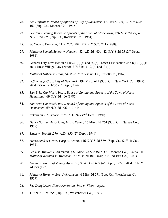- 76. See *Hopkins v. Board of Appeals of City of Rochester*, 179 Misc. 325, 39 N.Y.S.2d 167 (Sup. Ct., Monroe Co., 1942).
- 77. *Gordon v. Zoning Board of Appeals of the Town of Clarkstown*, 126 Misc.2d 75, 481 N.Y.S.2d 275 (Sup. Ct., Rockland Co., 1984).
- 78. *St. Onge v. Donovan*, 71 N.Y.2d 507, 527 N.Y.S.2d 721 (1988).
- 79. *Matter of Summit School v. Neugent*, 82 A.D.2d 463, 442 N.Y.S.2d 73 (2<sup>nd</sup> Dept., 1981).
- 80. General City Law section 81-b(2), (3)(a) and (4)(a); Town Law section 267-b(1), (2)(a) and (3)(a); Village Law section 7-712-b(1), (2)(a) and (3)(a).
- 81. *Matter of Hilbert v. Haas*, 54 Misc.2d 777 (Sup. Ct., Suffolk Co., 1967).
- 82. *S.S. Kresge Co. v. City of New York*, 194 Misc. 645 (Sup. Ct., New York Co., 1949), aff'd 275 A.D. 1036 (1<sup>st</sup> Dept., 1949).
- 83. *Sun-Brite Car Wash, Inc. v. Board of Zoning and Appeals of the Town of North Hempstead*, 69 N.Y.2d 406 (1987).
- 84. *Sun-Brite Car Wash, Inc. v. Board of Zoning and Appeals of the Town of North Hempstead* ,69 N.Y.2d 406, 413-414.
- 85. *Eckerman v. Murdock*, 276 A.D. 927 (2<sup>nd</sup> Dept., 1950).
- 86. *Henry Norman Associates, Inc. v. Ketler*, 16 Misc. 2d 764 (Sup. Ct., Nassau Co., 1959).
- 87. *Slater v. Toohill* , 276 A.D. 850 (2<sup>nd</sup> Dept., 1949).
- 88. *Steers Sand & Gravel Corp. v. Brunn*, 116 N.Y.S.2d 879 (Sup. Ct., Suffolk Co., 1952).
- 89. See also *Mueller v. Anderson,* ( 60 Misc. 2d 568 (Sup. Ct., Monroe Co., 1969)). In *Matter of Bettman v. Michaelis*, 27 Misc.2d 1010 (Sup. Ct., Nassau Co., 1961).
- 90. *Lavere v. Board of Zoning Appeals* (39 A.D.2d 639 (4<sup>th</sup> Dept., 1972), aff'd 33 N.Y. 2d 873 (1973).
- 91. *Matter of Horan v. Board of Appeals*, 6 Misc.2d 571 (Sup. Ct., Westchester Co., 1957).
- 92. See *Douglaston Civic Association, Inc. v. Klein*, *supra*.
- 93. 119 N.Y.S.2d 855 (Sup. Ct., Westchester Co., 1953).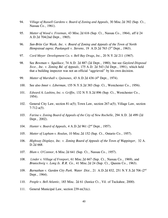- 94. *Village of Russell Gardens v. Board of Zoning and Appeals*, 30 Misc.2d 392 (Sup. Ct., Nassau Co., 1961).
- 95. *Matter of Wood v. Freeman*, 43 Misc.2d 616 (Sup. Ct., Nassau Co., 1964), aff'd 24 A.D.2d 704(2nd Dept., 1965).
- 96. *Sun-Brite Car Wash, Inc. v. Board of Zoning and Appeals of the Town of North Hempstead supra*; *Paolangeli v. Stevens*, 19 A.D.2d 763 (3<sup>rd</sup> Dept., 1963).
- 97. *Cord Meyer Development Co. v. Bell Bay Drugs*, *Inc.*, 20 N.Y.2d 211 (1967).
- 98. See *Bowman v. Squillace*, 74 A.D. 2d 887 (2d Dept., 1980), but see *Gaylord Disposal Svce., Inc. v. Zoning Bd. of Appeals*, 175 A.D. 2d 543 (3d Dept., 1991), which held that a building inspector was not an official "aggrieved" by his own decision.
- 99. *Matter of Marshall v. Quinones*, 43 A.D.2d 436 (4<sup>th</sup> Dept., 1974).
- 100. See also *Innet v. Liberman*, 155 N.Y.S.2d 383 (Sup. Ct., Westchester Co., 1956).
- 101. *Edward A. Lashins, Inc. v. Griffin*, 132 N.Y.S.2d 896 (Sup. Ct., Westchester Co., 1954).
- 102. General City Law, section 81-a(5); Town Law, section 267-a(5); Village Law, section  $7-712-a(5)$ .
- 103. *Farina v. Zoning Board of Appeals of the City of New Rochelle*, 294 A.D. 2d 499 (2d Dept., 2002).
- 104. *Hunter v. Board of Appeals*, 4 A.D.2d 961 (2<sup>nd</sup> Dept., 1957).
- 105. *Matter of Lapham v. Roulan*, 10 Misc.2d 152 (Sup. Ct., Ontario Co., 1957).
- 106. *Highway Displays, Inc. v. Zoning Board of Appeals of the Town of Wappinger*, 32 A. D.2d 668.
- 107. *Blum v. O'Connor*, 6 Misc.2d 641 (Sup. Ct., Nassau Co., 1957).
- 108. *Linder v. Village of Freeport*, 61 Misc.2d 667 (Sup. Ct., Nassau Co., 1969), and *Brunschwig v. Long Is. R.R. Co.,* 41 Misc.2d 24 (Sup. Ct., Queens Co., 1963).
- 109. *Barnathan v. Garden City Park. Water Dist.*, 21 A.D.2d 832, 251 N.Y.S.2d 706 (2nd Dept., 1964).
- 110. *People v. Bell Atlantic*, 183 Misc. 2d 61 (Justice Ct., Vil. of Tuckahoe, 2000).
- 111. General Municipal Law, section 239-m(3)(c).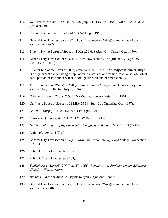- 112. *Weinstein v. Nicosia*, 32 Misc. 2d 246 (Sup. Ct., Erie Co., 1962), aff'd 18 A.D.2d 881  $(4<sup>th</sup>$  Dept., 1963).
- 113. *Asthma v. Curcione*, 31 A.D.2d 883 (4<sup>th</sup> Dept., 1969).
- 114. General City Law section 81-a(7), Town Law section 267-a(7), and Village Law section 7-712-a(7).
- 115. *Blum v. Zoning Board of Appeals*, 1 Misc.2d 668 (Sup. Ct., Nassau Co., 1956).
- 116. General City Law section 81-a(10), Town Law section 267-a(10), and Village Law section 7-712-a(10).
- 117. Chapter 687 of the Laws of 2005, effective July 1, 2006. An "adjacent municipality" is a city, except a city having a population in excess of one million, town or village which has a portion of its boundary that is contiguous with another municipality.
- 118. Town Law section 267-a(7), Village Law section 7-712-a(7), and General City Law section 81-a(7), effective July 1, 1994.
- 119. *Briscoe v. Bruenn*, 216 N.Y.S.2d 799 (Sup. Ct., Westchester Co., 1961).
- 120. *Gerling v. Board of Appeals*, 11 Misc.2d 84 (Sup. Ct., Onondaga Co., 1957).
- 121. *Galvin v. Murphy*, 11 A.D.2d 900 (4<sup>th</sup> Dept., 1960).
- 122. *Kenyon v. Quinones*, 43 A.D.2d 125 (4<sup>th</sup> Dept., 19730).
- 123. *Galvin v. Murphy*, *supra*; *Community Synagogue v. Bates*, 1 N.Y.2d 445 (1956).
- 124. Rathkopf, *supra, §57:65.*
- 125. General City Law section 81-a(1), Town Law section 267-a(1), and Village Law section 7-712-a(1).
- 126. Public Officers Law, section 105.
- 127. Public Officers Law, section 103(a).
- 128. *VonKohorn v. Morrell*, 9 N.Y.2d 27 (1961); *People ex rel. Fordham Manor Reformed Church v. Walsh*, *supra*.
- 129. *Hunter v. Board of Appeals*, *supra*; *Kenyon v. Quinones*, *supra*.
- 130. General City Law section 81-a(8), Town Law section 267-a(8), and Village Law section 7-712-a(8).